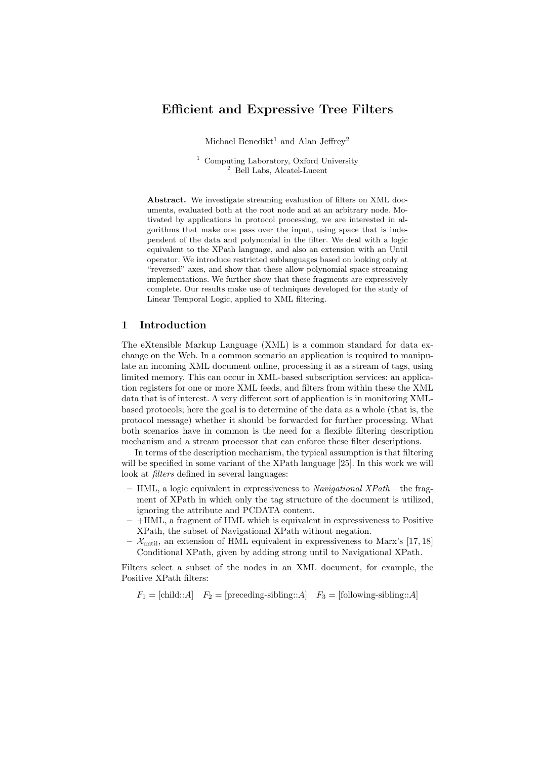# Efficient and Expressive Tree Filters

Michael Benedikt<sup>1</sup> and Alan Jeffrey<sup>2</sup>

<sup>1</sup> Computing Laboratory, Oxford University <sup>2</sup> Bell Labs, Alcatel-Lucent

Abstract. We investigate streaming evaluation of filters on XML documents, evaluated both at the root node and at an arbitrary node. Motivated by applications in protocol processing, we are interested in algorithms that make one pass over the input, using space that is independent of the data and polynomial in the filter. We deal with a logic equivalent to the XPath language, and also an extension with an Until operator. We introduce restricted sublanguages based on looking only at "reversed" axes, and show that these allow polynomial space streaming implementations. We further show that these fragments are expressively complete. Our results make use of techniques developed for the study of Linear Temporal Logic, applied to XML filtering.

## 1 Introduction

The eXtensible Markup Language (XML) is a common standard for data exchange on the Web. In a common scenario an application is required to manipulate an incoming XML document online, processing it as a stream of tags, using limited memory. This can occur in XML-based subscription services: an application registers for one or more XML feeds, and filters from within these the XML data that is of interest. A very different sort of application is in monitoring XMLbased protocols; here the goal is to determine of the data as a whole (that is, the protocol message) whether it should be forwarded for further processing. What both scenarios have in common is the need for a flexible filtering description mechanism and a stream processor that can enforce these filter descriptions.

In terms of the description mechanism, the typical assumption is that filtering will be specified in some variant of the XPath language [25]. In this work we will look at *filters* defined in several languages:

- HML, a logic equivalent in expressiveness to Navigational  $XPath$  the fragment of XPath in which only the tag structure of the document is utilized, ignoring the attribute and PCDATA content.
- $-$  +HML, a fragment of HML which is equivalent in expressiveness to Positive XPath, the subset of Navigational XPath without negation.
- $-\chi$ <sub>until</sub>, an extension of HML equivalent in expressiveness to Marx's [17, 18] Conditional XPath, given by adding strong until to Navigational XPath.

Filters select a subset of the nodes in an XML document, for example, the Positive XPath filters:

 $F_1 = [\text{child::}A]$   $F_2 = [\text{preceding-sibling::}A]$   $F_3 = [\text{following-sibling::}A]$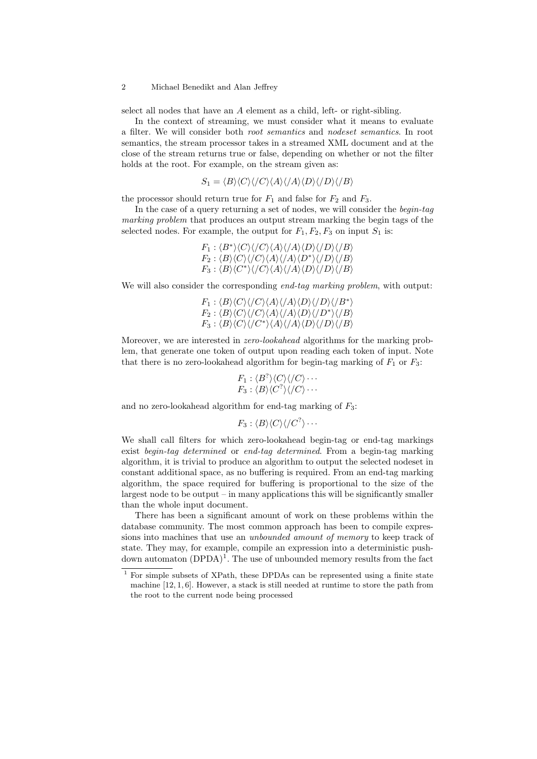select all nodes that have an A element as a child, left- or right-sibling.

In the context of streaming, we must consider what it means to evaluate a filter. We will consider both root semantics and nodeset semantics. In root semantics, the stream processor takes in a streamed XML document and at the close of the stream returns true or false, depending on whether or not the filter holds at the root. For example, on the stream given as:

$$
S_1 = \langle B \rangle \langle C \rangle \langle /C \rangle \langle A \rangle \langle /A \rangle \langle D \rangle \langle /D \rangle \langle /B \rangle
$$

the processor should return true for  $F_1$  and false for  $F_2$  and  $F_3$ .

In the case of a query returning a set of nodes, we will consider the begin-tag marking problem that produces an output stream marking the begin tags of the selected nodes. For example, the output for  $F_1, F_2, F_3$  on input  $S_1$  is:

$$
F_1: \langle B^* \rangle \langle C \rangle \langle A \rangle \langle A \rangle \langle D \rangle \langle D \rangle \langle B \rangle
$$
  
\n
$$
F_2: \langle B \rangle \langle C \rangle \langle C \rangle \langle A \rangle \langle A \rangle \langle D^* \rangle \langle D \rangle \langle B \rangle
$$
  
\n
$$
F_3: \langle B \rangle \langle C^* \rangle \langle C \rangle \langle A \rangle \langle A \rangle \langle D \rangle \langle D \rangle \langle B \rangle
$$

We will also consider the corresponding *end-tag marking problem*, with output:

$$
F_1: \langle B \rangle \langle C \rangle \langle A \rangle \langle A \rangle \langle D \rangle \langle D \rangle \langle B^* \rangle
$$
  
\n
$$
F_2: \langle B \rangle \langle C \rangle \langle C \rangle \langle A \rangle \langle A \rangle \langle D \rangle \langle D^* \rangle \langle B \rangle
$$
  
\n
$$
F_3: \langle B \rangle \langle C \rangle \langle C^* \rangle \langle A \rangle \langle A \rangle \langle D \rangle \langle D \rangle \langle B \rangle
$$

Moreover, we are interested in *zero-lookahead* algorithms for the marking problem, that generate one token of output upon reading each token of input. Note that there is no zero-lookahead algorithm for begin-tag marking of  $F_1$  or  $F_3$ :

$$
F_1: \langle B^? \rangle \langle C \rangle \langle C \rangle \cdots
$$
  

$$
F_3: \langle B \rangle \langle C^? \rangle \langle C \rangle \cdots
$$

and no zero-lookahead algorithm for end-tag marking of  $F_3$ :

$$
F_3:\langle B\rangle\langle C\rangle\langle C^?\rangle\cdots
$$

We shall call filters for which zero-lookahead begin-tag or end-tag markings exist begin-tag determined or end-tag determined. From a begin-tag marking algorithm, it is trivial to produce an algorithm to output the selected nodeset in constant additional space, as no buffering is required. From an end-tag marking algorithm, the space required for buffering is proportional to the size of the largest node to be output – in many applications this will be significantly smaller than the whole input document.

There has been a significant amount of work on these problems within the database community. The most common approach has been to compile expressions into machines that use an *unbounded amount of memory* to keep track of state. They may, for example, compile an expression into a deterministic pushdown automaton  $(DPDA)^1$ . The use of unbounded memory results from the fact

<sup>1</sup> For simple subsets of XPath, these DPDAs can be represented using a finite state machine [12, 1, 6]. However, a stack is still needed at runtime to store the path from the root to the current node being processed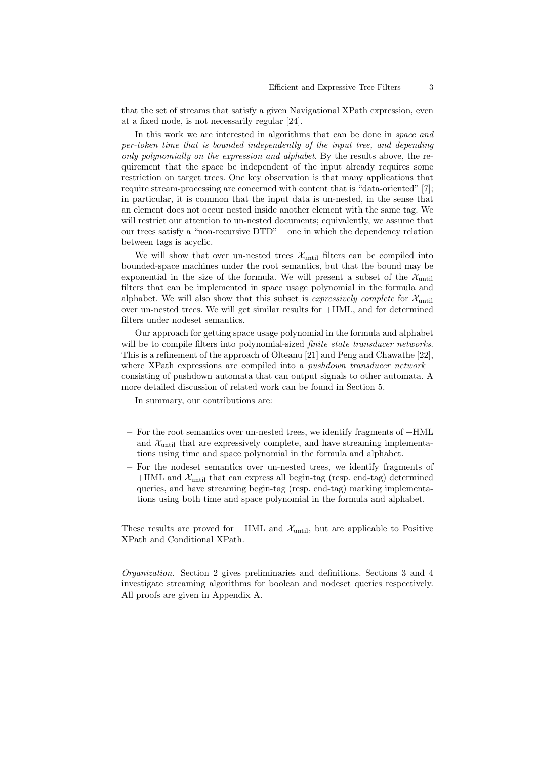that the set of streams that satisfy a given Navigational XPath expression, even at a fixed node, is not necessarily regular [24].

In this work we are interested in algorithms that can be done in *space and* per-token time that is bounded independently of the input tree, and depending only polynomially on the expression and alphabet. By the results above, the requirement that the space be independent of the input already requires some restriction on target trees. One key observation is that many applications that require stream-processing are concerned with content that is "data-oriented" [7]; in particular, it is common that the input data is un-nested, in the sense that an element does not occur nested inside another element with the same tag. We will restrict our attention to un-nested documents; equivalently, we assume that our trees satisfy a "non-recursive DTD" – one in which the dependency relation between tags is acyclic.

We will show that over un-nested trees  $\mathcal{X}_{\text{until}}$  filters can be compiled into bounded-space machines under the root semantics, but that the bound may be exponential in the size of the formula. We will present a subset of the  $\mathcal{X}_{\text{until}}$ filters that can be implemented in space usage polynomial in the formula and alphabet. We will also show that this subset is *expressively complete* for  $\mathcal{X}_{\text{until}}$ over un-nested trees. We will get similar results for +HML, and for determined filters under nodeset semantics.

Our approach for getting space usage polynomial in the formula and alphabet will be to compile filters into polynomial-sized *finite state transducer networks*. This is a refinement of the approach of Olteanu [21] and Peng and Chawathe [22], where XPath expressions are compiled into a *pushdown transducer network* – consisting of pushdown automata that can output signals to other automata. A more detailed discussion of related work can be found in Section 5.

In summary, our contributions are:

- For the root semantics over un-nested trees, we identify fragments of +HML and  $\mathcal{X}_{\text{until}}$  that are expressively complete, and have streaming implementations using time and space polynomial in the formula and alphabet.
- For the nodeset semantics over un-nested trees, we identify fragments of  $+HML$  and  $\mathcal{X}_{until}$  that can express all begin-tag (resp. end-tag) determined queries, and have streaming begin-tag (resp. end-tag) marking implementations using both time and space polynomial in the formula and alphabet.

These results are proved for  $+HML$  and  $\mathcal{X}_{until}$ , but are applicable to Positive XPath and Conditional XPath.

Organization. Section 2 gives preliminaries and definitions. Sections 3 and 4 investigate streaming algorithms for boolean and nodeset queries respectively. All proofs are given in Appendix A.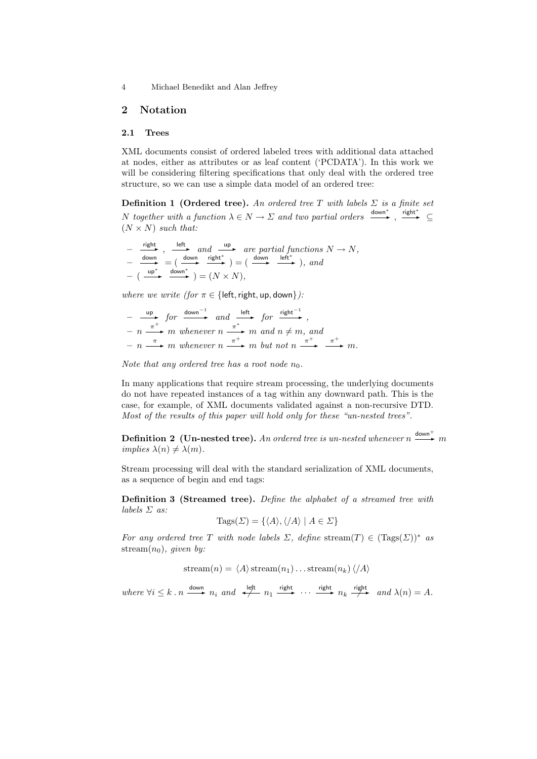## 2 Notation

#### 2.1 Trees

XML documents consist of ordered labeled trees with additional data attached at nodes, either as attributes or as leaf content ('PCDATA'). In this work we will be considering filtering specifications that only deal with the ordered tree structure, so we can use a simple data model of an ordered tree:

**Definition 1 (Ordered tree).** An ordered tree T with labels  $\Sigma$  is a finite set N together with a function  $\lambda \in N \to \Sigma$  and two partial orders  $\xrightarrow{\text{down}^*}$ ,  $\xrightarrow{\text{right}^*}$   $\subseteq$  $(N \times N)$  such that:

$$
-\frac{\frac{\text{right}}{\text{down}}}{-\frac{\text{down}}{\text{down}}}, \frac{\frac{\text{left}}{\text{down}}}{-\frac{\text{down}}{\text{down}}}, \text{ and } \frac{\frac{\text{up}}{\text{up}}}{-\frac{\text{down}}{\text{down}}}, \text{ are partial functions } N \to N,
$$
  

$$
-\frac{\frac{\text{up}}{\text{down}}}{\frac{\text{down}}{\text{down}}}, \text{ and } \frac{\text{down}}{\text{down}}}{-\frac{\text{down}}{\text{down}}}, \text{ and } \frac{\text{down}}{\text{down}} \to \text{down}, \text{ and}
$$

where we write (for  $\pi \in \{\text{left}, \text{right}, \text{up}, \text{down}\}\$ ):

$$
- \frac{up}{n} \xrightarrow{\pi^+} for \xrightarrow{down^{-1}} and \xrightarrow{left} for \xrightarrow{right^{-1}} ,
$$
  
\n
$$
- n \xrightarrow{\pi^+} m whenever n \xrightarrow{\pi^+} m and n \neq m, and
$$
  
\n
$$
- n \xrightarrow{\pi} m whenever n \xrightarrow{\pi^+} m but not n \xrightarrow{\pi^+} x \xrightarrow{\pi^+} m.
$$

Note that any ordered tree has a root node  $n_0$ .

In many applications that require stream processing, the underlying documents do not have repeated instances of a tag within any downward path. This is the case, for example, of XML documents validated against a non-recursive DTD. Most of the results of this paper will hold only for these "un-nested trees".

**Definition 2** (Un-nested tree). An ordered tree is un-nested whenever n  $\stackrel{\text{down}^+}{\longrightarrow} m$ implies  $\lambda(n) \neq \lambda(m)$ .

Stream processing will deal with the standard serialization of XML documents, as a sequence of begin and end tags:

Definition 3 (Streamed tree). Define the alphabet of a streamed tree with labels  $\Sigma$  as:

$$
Tags(\Sigma) = \{ \langle A \rangle, \langle A \rangle \mid A \in \Sigma \}
$$

For any ordered tree T with node labels  $\Sigma$ , define stream(T)  $\in$  (Tags( $\Sigma$ ))<sup>\*</sup> as stream $(n_0)$ , given by:

$$
stream(n) = \langle A \rangle stream(n_1) \dots stream(n_k) \langle A \rangle
$$

where  $\forall i \leq k$  .  $n \xrightarrow{\text{down}} n_i$  and  $\longleftrightarrow^{left} n_1 \xrightarrow{\text{right}} \cdots \xrightarrow{\text{right}} n_k \xrightarrow{\text{right}}$  and  $\lambda(n) = A$ .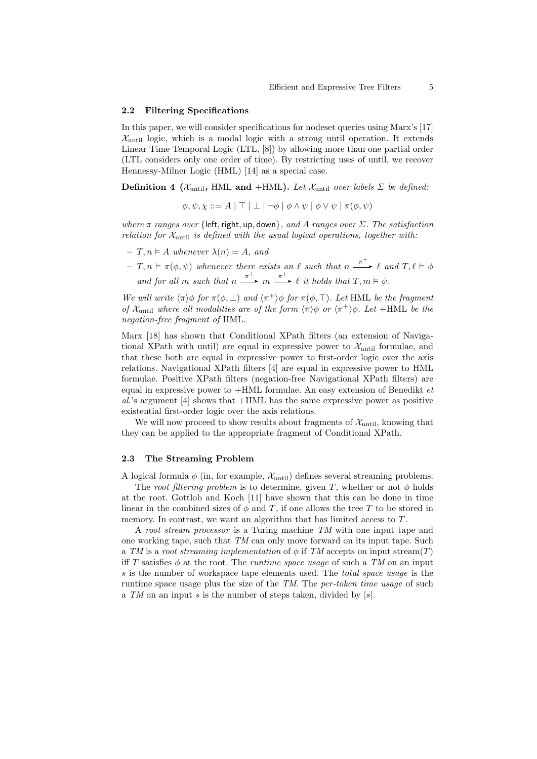#### 2.2 Filtering Specifications

In this paper, we will consider specifications for nodeset queries using Marx's [17]  $\mathcal{X}_{\text{until}}$  logic, which is a modal logic with a strong until operation. It extends Linear Time Temporal Logic (LTL, [8]) by allowing more than one partial order (LTL considers only one order of time). By restricting uses of until, we recover Hennessy-Milner Logic (HML) [14] as a special case.

**Definition 4** ( $\mathcal{X}_{\text{until}}$ , HML and +HML). Let  $\mathcal{X}_{\text{until}}$  over labels  $\Sigma$  be defined:

 $\phi, \psi, \chi ::= A | \top | \bot | \neg \phi | \phi \land \psi | \phi \lor \psi | \pi(\phi, \psi)$ 

where  $\pi$  ranges over {left, right, up, down}, and A ranges over  $\Sigma$ . The satisfaction relation for  $\mathcal{X}_{\text{until}}$  is defined with the usual logical operations, together with:

- $-T, n \models A$  whenever  $\lambda(n) = A$ , and
- $T, n \vDash \pi(\phi, \psi)$  whenever there exists an  $\ell$  such that  $n \xrightarrow{\pi^+} \ell$  and  $T, \ell \vDash \phi$ and for all m such that  $n \xrightarrow{\pi^+} m \xrightarrow{\pi^+} \ell$  it holds that  $T, m \models \psi$ .

We will write  $\langle \pi \rangle \phi$  for  $\pi(\phi, \perp)$  and  $\langle \pi^+ \rangle \phi$  for  $\pi(\phi, \top)$ . Let HML be the fragment of  $\mathcal{X}_{\text{until}}$  where all modalities are of the form  $\langle \pi \rangle \phi$  or  $\langle \pi^+ \rangle \phi$ . Let +HML be the negation-free fragment of HML.

Marx [18] has shown that Conditional XPath filters (an extension of Navigational XPath with until) are equal in expressive power to  $\mathcal{X}_{\text{until}}$  formulae, and that these both are equal in expressive power to first-order logic over the axis relations. Navigational XPath filters [4] are equal in expressive power to HML formulae. Positive XPath filters (negation-free Navigational XPath filters) are equal in expressive power to  $+HML$  formulae. An easy extension of Benedikt  $et$ al.'s argument [4] shows that +HML has the same expressive power as positive existential first-order logic over the axis relations.

We will now proceed to show results about fragments of  $\mathcal{X}_{\text{until}}$ , knowing that they can be applied to the appropriate fragment of Conditional XPath.

### 2.3 The Streaming Problem

A logical formula  $\phi$  (in, for example,  $\mathcal{X}_{\text{until}}$ ) defines several streaming problems. The root filtering problem is to determine, given T, whether or not  $\phi$  holds at the root. Gottlob and Koch [11] have shown that this can be done in time linear in the combined sizes of  $\phi$  and T, if one allows the tree T to be stored in memory. In contrast, we want an algorithm that has limited access to  $T$ .

A root stream processor is a Turing machine TM with one input tape and one working tape, such that TM can only move forward on its input tape. Such a TM is a root streaming implementation of  $\phi$  if TM accepts on input stream(T) iff T satisfies  $\phi$  at the root. The *runtime space usage* of such a TM on an input s is the number of workspace tape elements used. The total space usage is the runtime space usage plus the size of the  $TM$ . The *per-token time usage* of such a TM on an input s is the number of steps taken, divided by  $|s|$ .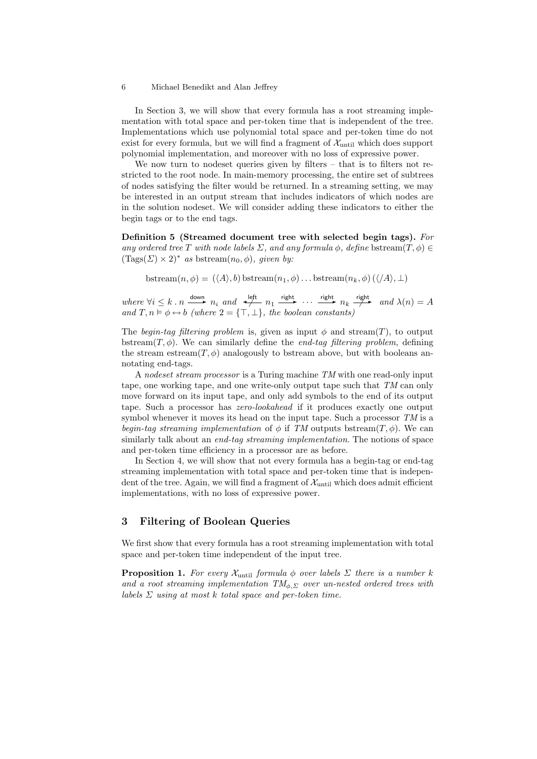In Section 3, we will show that every formula has a root streaming implementation with total space and per-token time that is independent of the tree. Implementations which use polynomial total space and per-token time do not exist for every formula, but we will find a fragment of  $\mathcal{X}_{\text{until}}$  which does support polynomial implementation, and moreover with no loss of expressive power.

We now turn to nodeset queries given by filters  $-$  that is to filters not restricted to the root node. In main-memory processing, the entire set of subtrees of nodes satisfying the filter would be returned. In a streaming setting, we may be interested in an output stream that includes indicators of which nodes are in the solution nodeset. We will consider adding these indicators to either the begin tags or to the end tags.

Definition 5 (Streamed document tree with selected begin tags). For any ordered tree T with node labels  $\Sigma$ , and any formula  $\phi$ , define bstream $(T, \phi) \in$  $(\text{Tags}(\Sigma) \times 2)^*$  as bstream $(n_0, \phi)$ , given by:

bstream $(n, \phi) = (\langle A \rangle, b)$  bstream $(n_1, \phi)$ ... bstream $(n_k, \phi)$   $(\langle A \rangle, \perp)$ 

where  $\forall i \leq k$  .  $n \xrightarrow{\text{down}} n_i$  and  $\leftrightarrow{\text{left}} n_1 \xrightarrow{\text{right}} \cdots \xrightarrow{\text{right}} n_k \xrightarrow{\text{right}} n \text{ and } \lambda(n) = A$ and  $T, n \models \phi \leftrightarrow b$  (where  $2 = \{\top, \bot\}$ , the boolean constants)

The begin-tag filtering problem is, given as input  $\phi$  and stream(T), to output bstream $(T, \phi)$ . We can similarly define the *end-tag filtering problem*, defining the stream estream $(T, \phi)$  analogously to bstream above, but with booleans annotating end-tags.

A nodeset stream processor is a Turing machine TM with one read-only input tape, one working tape, and one write-only output tape such that TM can only move forward on its input tape, and only add symbols to the end of its output tape. Such a processor has zero-lookahead if it produces exactly one output symbol whenever it moves its head on the input tape. Such a processor  $TM$  is a begin-tag streaming implementation of  $\phi$  if TM outputs bstream $(T, \phi)$ . We can similarly talk about an *end-tag streaming implementation*. The notions of space and per-token time efficiency in a processor are as before.

In Section 4, we will show that not every formula has a begin-tag or end-tag streaming implementation with total space and per-token time that is independent of the tree. Again, we will find a fragment of  $\mathcal{X}_{\text{until}}$  which does admit efficient implementations, with no loss of expressive power.

## 3 Filtering of Boolean Queries

We first show that every formula has a root streaming implementation with total space and per-token time independent of the input tree.

**Proposition 1.** For every  $\mathcal{X}_{\text{until}}$  formula  $\phi$  over labels  $\Sigma$  there is a number k and a root streaming implementation  $TM_{\phi, \Sigma}$  over un-nested ordered trees with labels  $\Sigma$  using at most k total space and per-token time.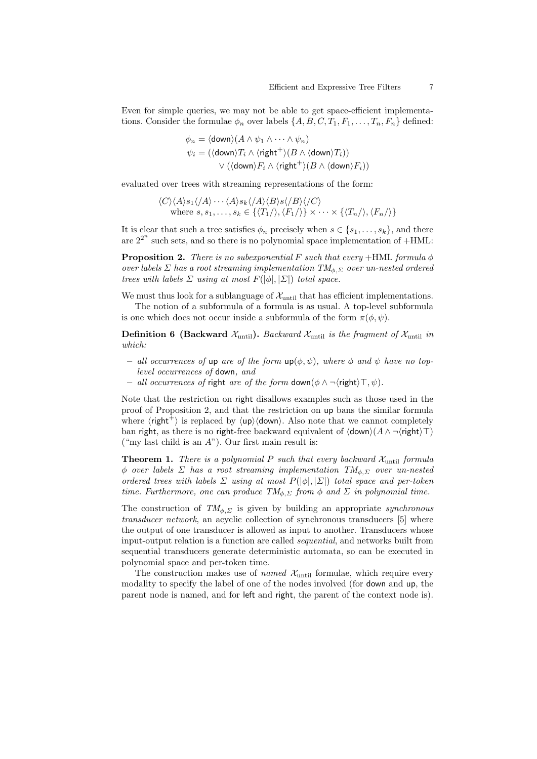Even for simple queries, we may not be able to get space-efficient implementations. Consider the formulae  $\phi_n$  over labels  $\{A, B, C, T_1, F_1, \ldots, T_n, F_n\}$  defined:

$$
\phi_n = \langle \text{down} \rangle (A \land \psi_1 \land \dots \land \psi_n)
$$
  

$$
\psi_i = (\langle \text{down} \rangle T_i \land \langle \text{right}^+ \rangle (B \land \langle \text{down} \rangle T_i))
$$
  

$$
\lor (\langle \text{down} \rangle F_i \land \langle \text{right}^+ \rangle (B \land \langle \text{down} \rangle F_i))
$$

evaluated over trees with streaming representations of the form:

$$
\langle C \rangle \langle A \rangle s_1 \langle A \rangle \cdots \langle A \rangle s_k \langle A \rangle \langle B \rangle s \langle B \rangle \langle C \rangle
$$
  
where  $s, s_1, \ldots, s_k \in \{ \langle T_1 \rangle, \langle F_1 \rangle \} \times \cdots \times \{ \langle T_n \rangle, \langle F_n \rangle \}$ 

It is clear that such a tree satisfies  $\phi_n$  precisely when  $s \in \{s_1, \ldots, s_k\}$ , and there are  $2^{2^n}$  such sets, and so there is no polynomial space implementation of  $+HML$ :

**Proposition 2.** There is no subexponential F such that every +HML formula  $\phi$ over labels  $\Sigma$  has a root streaming implementation  $TM_{\phi,\Sigma}$  over un-nested ordered trees with labels  $\Sigma$  using at most  $F(|\phi|, |\Sigma|)$  total space.

We must thus look for a sublanguage of  $\mathcal{X}_{\text{until}}$  that has efficient implementations.

The notion of a subformula of a formula is as usual. A top-level subformula is one which does not occur inside a subformula of the form  $\pi(\phi, \psi)$ .

**Definition 6 (Backward**  $\mathcal{X}_{\text{until}}$ **).** Backward  $\mathcal{X}_{\text{until}}$  is the fragment of  $\mathcal{X}_{\text{until}}$  in which:

- all occurrences of up are of the form  $\text{up}(\phi, \psi)$ , where  $\phi$  and  $\psi$  have no toplevel occurrences of down, and
- all occurrences of right are of the form  $\text{down}(\phi \land \neg \langle \text{right}\rangle \top, \psi)$ .

Note that the restriction on right disallows examples such as those used in the proof of Proposition 2, and that the restriction on up bans the similar formula where  $\langle$ right<sup>+</sup> $\rangle$  is replaced by  $\langle$ up $\rangle$  $\langle$ down $\rangle$ . Also note that we cannot completely ban right, as there is no right-free backward equivalent of  $\langle \text{down} \rangle(A \wedge \neg \langle \text{right} \rangle \top)$ ("my last child is an  $A$ "). Our first main result is:

**Theorem 1.** There is a polynomial P such that every backward  $\mathcal{X}_{\text{until}}$  formula  $\phi$  over labels  $\Sigma$  has a root streaming implementation  $TM_{\phi, \Sigma}$  over un-nested ordered trees with labels  $\Sigma$  using at most  $P(|\phi|, |\Sigma|)$  total space and per-token time. Furthermore, one can produce  $TM_{\phi, \Sigma}$  from  $\phi$  and  $\Sigma$  in polynomial time.

The construction of  $TM_{\phi, \Sigma}$  is given by building an appropriate synchronous transducer network, an acyclic collection of synchronous transducers [5] where the output of one transducer is allowed as input to another. Transducers whose input-output relation is a function are called sequential, and networks built from sequential transducers generate deterministic automata, so can be executed in polynomial space and per-token time.

The construction makes use of *named*  $\mathcal{X}_{\text{until}}$  formulae, which require every modality to specify the label of one of the nodes involved (for down and up, the parent node is named, and for left and right, the parent of the context node is).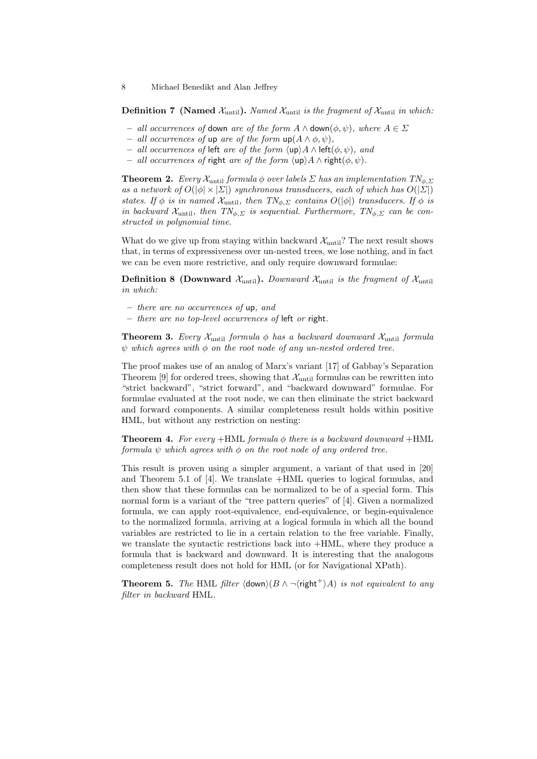**Definition 7** (Named  $\mathcal{X}_{\text{until}}$ ). Named  $\mathcal{X}_{\text{until}}$  is the fragment of  $\mathcal{X}_{\text{until}}$  in which:

- $−$  all occurrences of down are of the form  $A \wedge$  down $(φ, ψ)$ , where  $A ∈ Σ$
- $-$  all occurrences of up are of the form up( $A \wedge \phi, \psi$ ).
- all occurrences of left are of the form  $\langle$ up $\rangle$ A ∧ left( $\phi,$  ψ), and
- *all occurrences of right are of the form*  $\langle \text{up} \rangle A \wedge \text{right}(\phi, \psi)$ .

**Theorem 2.** Every  $\mathcal{X}_{\text{until}}$  formula  $\phi$  over labels  $\Sigma$  has an implementation  $TN_{\phi, \Sigma}$ as a network of  $O(|\phi| \times |\Sigma|)$  synchronous transducers, each of which has  $O(|\Sigma|)$ states. If  $\phi$  is in named  $\mathcal{X}_{\text{until}}$ , then  $TN_{\phi, \Sigma}$  contains  $O(|\phi|)$  transducers. If  $\phi$  is in backward  $\mathcal{X}_{\text{until}}$ , then  $TN_{\phi, \Sigma}$  is sequential. Furthermore,  $TN_{\phi, \Sigma}$  can be constructed in polynomial time.

What do we give up from staying within backward  $\mathcal{X}_{\text{until}}$ ? The next result shows that, in terms of expressiveness over un-nested trees, we lose nothing, and in fact we can be even more restrictive, and only require downward formulae:

**Definition 8 (Downward**  $\mathcal{X}_{\text{until}}$ **).** Downward  $\mathcal{X}_{\text{until}}$  is the fragment of  $\mathcal{X}_{\text{until}}$ in which:

- there are no occurrences of up, and
- there are no top-level occurrences of left or right.

**Theorem 3.** Every  $\mathcal{X}_{\text{until}}$  formula  $\phi$  has a backward downward  $\mathcal{X}_{\text{until}}$  formula  $\psi$  which agrees with  $\phi$  on the root node of any un-nested ordered tree.

The proof makes use of an analog of Marx's variant [17] of Gabbay's Separation Theorem [9] for ordered trees, showing that  $\mathcal{X}_{\text{until}}$  formulas can be rewritten into "strict backward", "strict forward", and "backward downward" formulae. For formulae evaluated at the root node, we can then eliminate the strict backward and forward components. A similar completeness result holds within positive HML, but without any restriction on nesting:

**Theorem 4.** For every +HML formula  $\phi$  there is a backward downward +HML formula  $\psi$  which agrees with  $\phi$  on the root node of any ordered tree.

This result is proven using a simpler argument, a variant of that used in [20] and Theorem 5.1 of [4]. We translate +HML queries to logical formulas, and then show that these formulas can be normalized to be of a special form. This normal form is a variant of the "tree pattern queries" of [4]. Given a normalized formula, we can apply root-equivalence, end-equivalence, or begin-equivalence to the normalized formula, arriving at a logical formula in which all the bound variables are restricted to lie in a certain relation to the free variable. Finally, we translate the syntactic restrictions back into +HML, where they produce a formula that is backward and downward. It is interesting that the analogous completeness result does not hold for HML (or for Navigational XPath).

**Theorem 5.** The HML filter  $\langle \text{down} \rangle (B \wedge \neg \langle \text{right}^+) A)$  is not equivalent to any filter in backward HML.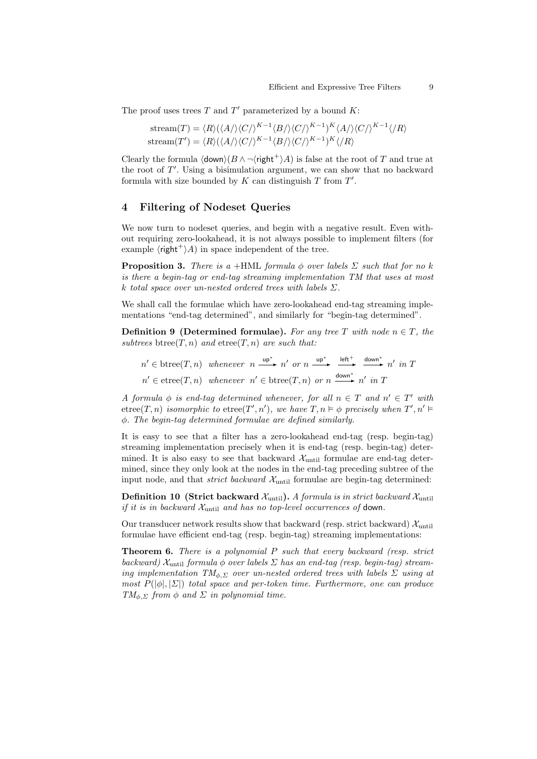The proof uses trees  $T$  and  $T'$  parameterized by a bound  $K$ :

$$
\text{stream}(T) = \langle R \rangle (\langle A / \rangle \langle C / \rangle^{K-1} \langle B / \rangle \langle C / \rangle^{K-1})^{K} \langle A / \rangle \langle C / \rangle^{K-1} \langle R \rangle
$$
  
stream
$$
(T') = \langle R \rangle (\langle A / \rangle \langle C / \rangle^{K-1} \langle B / \rangle \langle C / \rangle^{K-1})^{K} \langle R \rangle
$$

Clearly the formula  $\langle \text{down} \rangle (B \wedge \neg \langle \text{right}^+ \rangle A)$  is false at the root of T and true at the root of  $T'$ . Using a bisimulation argument, we can show that no backward formula with size bounded by  $K$  can distinguish  $T$  from  $T'$ .

## 4 Filtering of Nodeset Queries

We now turn to nodeset queries, and begin with a negative result. Even without requiring zero-lookahead, it is not always possible to implement filters (for example  $\langle \text{right}^+ \rangle A$ ) in space independent of the tree.

**Proposition 3.** There is a +HML formula  $\phi$  over labels  $\Sigma$  such that for no k is there a begin-tag or end-tag streaming implementation TM that uses at most k total space over un-nested ordered trees with labels  $\Sigma$ .

We shall call the formulae which have zero-lookahead end-tag streaming implementations "end-tag determined", and similarly for "begin-tag determined".

**Definition 9 (Determined formulae).** For any tree T with node  $n \in T$ , the subtrees btree $(T, n)$  and etree $(T, n)$  are such that:

$$
n' \in \text{btree}(T, n) \text{ whenever } n \xrightarrow{up^*} n' \text{ or } n \xrightarrow{up^*} \xrightarrow{left^+} \xrightarrow{down^*} n' \text{ in } T
$$
  

$$
n' \in \text{ctree}(T, n) \text{ whenever } n' \in \text{btree}(T, n) \text{ or } n \xrightarrow{down^*} n' \text{ in } T
$$

A formula  $\phi$  is end-tag determined whenever, for all  $n \in T$  and  $n' \in T'$  with etree $(T, n)$  isomorphic to etree $(T', n')$ , we have  $T, n \models \phi$  precisely when  $T', n' \models$ φ. The begin-tag determined formulae are defined similarly.

It is easy to see that a filter has a zero-lookahead end-tag (resp. begin-tag) streaming implementation precisely when it is end-tag (resp. begin-tag) determined. It is also easy to see that backward  $\mathcal{X}_{\text{until}}$  formulae are end-tag determined, since they only look at the nodes in the end-tag preceding subtree of the input node, and that *strict backward*  $\mathcal{X}_{\text{until}}$  formulae are begin-tag determined:

**Definition 10 (Strict backward**  $\mathcal{X}_{\text{until}}$ **).** A formula is in strict backward  $\mathcal{X}_{\text{until}}$ if it is in backward  $\mathcal{X}_{\text{until}}$  and has no top-level occurrences of down.

Our transducer network results show that backward (resp. strict backward)  $\mathcal{X}_{\text{until}}$ formulae have efficient end-tag (resp. begin-tag) streaming implementations:

**Theorem 6.** There is a polynomial  $P$  such that every backward (resp. strict backward)  $\mathcal{X}_{\text{until}}$  formula  $\phi$  over labels  $\Sigma$  has an end-tag (resp. begin-tag) streaming implementation  $TM_{\phi, \Sigma}$  over un-nested ordered trees with labels  $\Sigma$  using at most  $P(|\phi|, |\Sigma|)$  total space and per-token time. Furthermore, one can produce  $TM_{\phi, \Sigma}$  from  $\phi$  and  $\Sigma$  in polynomial time.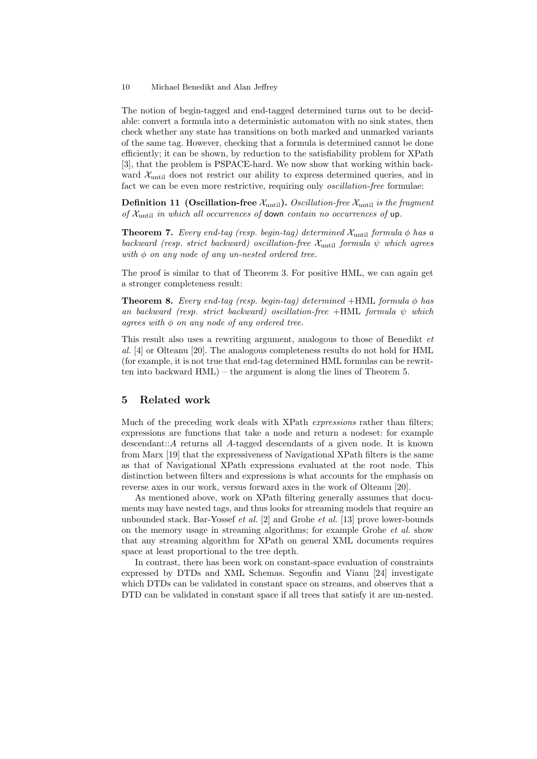The notion of begin-tagged and end-tagged determined turns out to be decidable: convert a formula into a deterministic automaton with no sink states, then check whether any state has transitions on both marked and unmarked variants of the same tag. However, checking that a formula is determined cannot be done efficiently; it can be shown, by reduction to the satisfiability problem for XPath [3], that the problem is PSPACE-hard. We now show that working within backward  $\mathcal{X}_{\text{until}}$  does not restrict our ability to express determined queries, and in fact we can be even more restrictive, requiring only *oscillation-free* formulae:

**Definition 11 (Oscillation-free**  $\mathcal{X}_{\text{until}}$ ). Oscillation-free  $\mathcal{X}_{\text{until}}$  is the fragment of  $\mathcal{X}_{\text{until}}$  in which all occurrences of down contain no occurrences of up.

**Theorem 7.** Every end-tag (resp. begin-tag) determined  $\mathcal{X}_{\text{until}}$  formula  $\phi$  has a backward (resp. strict backward) oscillation-free  $\mathcal{X}_{\text{until}}$  formula  $\psi$  which agrees with  $\phi$  on any node of any un-nested ordered tree.

The proof is similar to that of Theorem 3. For positive HML, we can again get a stronger completeness result:

**Theorem 8.** Every end-tag (resp. begin-tag) determined  $+HML$  formula  $\phi$  has an backward (resp. strict backward) oscillation-free  $+HML$  formula  $\psi$  which agrees with  $\phi$  on any node of any ordered tree.

This result also uses a rewriting argument, analogous to those of Benedikt et al. [4] or Olteanu [20]. The analogous completeness results do not hold for HML (for example, it is not true that end-tag determined HML formulas can be rewritten into backward HML) – the argument is along the lines of Theorem 5.

## 5 Related work

Much of the preceding work deals with XPath *expressions* rather than filters; expressions are functions that take a node and return a nodeset: for example descendant::A returns all A-tagged descendants of a given node. It is known from Marx [19] that the expressiveness of Navigational XPath filters is the same as that of Navigational XPath expressions evaluated at the root node. This distinction between filters and expressions is what accounts for the emphasis on reverse axes in our work, versus forward axes in the work of Olteanu [20].

As mentioned above, work on XPath filtering generally assumes that documents may have nested tags, and thus looks for streaming models that require an unbounded stack. Bar-Yossef  $et$  al. [2] and Grohe  $et$  al. [13] prove lower-bounds on the memory usage in streaming algorithms; for example Grohe et al. show that any streaming algorithm for XPath on general XML documents requires space at least proportional to the tree depth.

In contrast, there has been work on constant-space evaluation of constraints expressed by DTDs and XML Schemas. Segoufin and Vianu [24] investigate which DTDs can be validated in constant space on streams, and observes that a DTD can be validated in constant space if all trees that satisfy it are un-nested.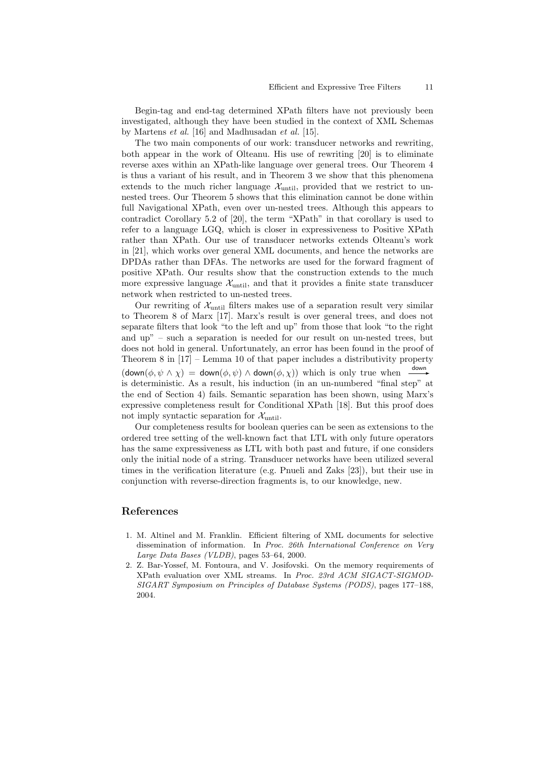Begin-tag and end-tag determined XPath filters have not previously been investigated, although they have been studied in the context of XML Schemas by Martens et al. [16] and Madhusadan et al. [15].

The two main components of our work: transducer networks and rewriting, both appear in the work of Olteanu. His use of rewriting [20] is to eliminate reverse axes within an XPath-like language over general trees. Our Theorem 4 is thus a variant of his result, and in Theorem 3 we show that this phenomena extends to the much richer language  $\mathcal{X}_{\text{until}}$ , provided that we restrict to unnested trees. Our Theorem 5 shows that this elimination cannot be done within full Navigational XPath, even over un-nested trees. Although this appears to contradict Corollary 5.2 of [20], the term "XPath" in that corollary is used to refer to a language LGQ, which is closer in expressiveness to Positive XPath rather than XPath. Our use of transducer networks extends Olteanu's work in [21], which works over general XML documents, and hence the networks are DPDAs rather than DFAs. The networks are used for the forward fragment of positive XPath. Our results show that the construction extends to the much more expressive language  $\mathcal{X}_{\text{until}}$ , and that it provides a finite state transducer network when restricted to un-nested trees.

Our rewriting of  $\mathcal{X}_{\text{until}}$  filters makes use of a separation result very similar to Theorem 8 of Marx [17]. Marx's result is over general trees, and does not separate filters that look "to the left and up" from those that look "to the right and up" – such a separation is needed for our result on un-nested trees, but does not hold in general. Unfortunately, an error has been found in the proof of Theorem 8 in [17] – Lemma 10 of that paper includes a distributivity property  $(\text{down}(\phi, \psi \wedge \chi) = \text{down}(\phi, \psi) \wedge \text{down}(\phi, \chi))$  which is only true when  $\longrightarrow^{\text{down}}$ is deterministic. As a result, his induction (in an un-numbered "final step" at the end of Section 4) fails. Semantic separation has been shown, using Marx's expressive completeness result for Conditional XPath [18]. But this proof does not imply syntactic separation for  $\mathcal{X}_{\text{until}}$ .

Our completeness results for boolean queries can be seen as extensions to the ordered tree setting of the well-known fact that LTL with only future operators has the same expressiveness as LTL with both past and future, if one considers only the initial node of a string. Transducer networks have been utilized several times in the verification literature (e.g. Pnueli and Zaks [23]), but their use in conjunction with reverse-direction fragments is, to our knowledge, new.

## References

- 1. M. Altinel and M. Franklin. Efficient filtering of XML documents for selective dissemination of information. In Proc. 26th International Conference on Very Large Data Bases (VLDB), pages 53–64, 2000.
- 2. Z. Bar-Yossef, M. Fontoura, and V. Josifovski. On the memory requirements of XPath evaluation over XML streams. In Proc. 23rd ACM SIGACT-SIGMOD-SIGART Symposium on Principles of Database Systems (PODS), pages 177–188, 2004.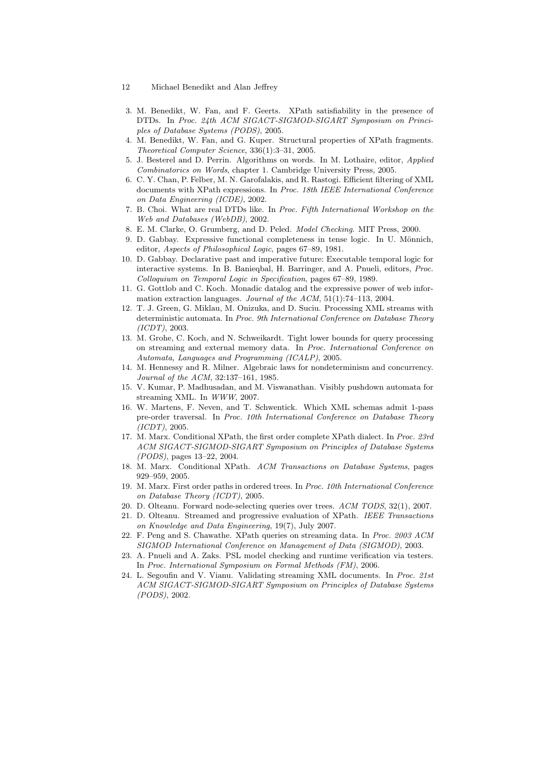- 12 Michael Benedikt and Alan Jeffrey
- 3. M. Benedikt, W. Fan, and F. Geerts. XPath satisfiability in the presence of DTDs. In Proc. 24th ACM SIGACT-SIGMOD-SIGART Symposium on Principles of Database Systems (PODS), 2005.
- 4. M. Benedikt, W. Fan, and G. Kuper. Structural properties of XPath fragments. Theoretical Computer Science, 336(1):3–31, 2005.
- 5. J. Besterel and D. Perrin. Algorithms on words. In M. Lothaire, editor, Applied Combinatorics on Words, chapter 1. Cambridge University Press, 2005.
- 6. C. Y. Chan, P. Felber, M. N. Garofalakis, and R. Rastogi. Efficient filtering of XML documents with XPath expressions. In Proc. 18th IEEE International Conference on Data Engineering (ICDE), 2002.
- 7. B. Choi. What are real DTDs like. In Proc. Fifth International Workshop on the Web and Databases (WebDB), 2002.
- 8. E. M. Clarke, O. Grumberg, and D. Peled. Model Checking. MIT Press, 2000.
- 9. D. Gabbay. Expressive functional completeness in tense logic. In U. Mönnich, editor, Aspects of Philosophical Logic, pages 67–89, 1981.
- 10. D. Gabbay. Declarative past and imperative future: Executable temporal logic for interactive systems. In B. Banieqbal, H. Barringer, and A. Pnueli, editors, Proc. Colloquium on Temporal Logic in Specification, pages 67–89, 1989.
- 11. G. Gottlob and C. Koch. Monadic datalog and the expressive power of web information extraction languages. Journal of the ACM,  $51(1)$ :74–113, 2004.
- 12. T. J. Green, G. Miklau, M. Onizuka, and D. Suciu. Processing XML streams with deterministic automata. In Proc. 9th International Conference on Database Theory (ICDT), 2003.
- 13. M. Grohe, C. Koch, and N. Schweikardt. Tight lower bounds for query processing on streaming and external memory data. In Proc. International Conference on Automata, Languages and Programming (ICALP), 2005.
- 14. M. Hennessy and R. Milner. Algebraic laws for nondeterminism and concurrency. Journal of the ACM, 32:137–161, 1985.
- 15. V. Kumar, P. Madhusadan, and M. Viswanathan. Visibly pushdown automata for streaming XML. In WWW, 2007.
- 16. W. Martens, F. Neven, and T. Schwentick. Which XML schemas admit 1-pass pre-order traversal. In Proc. 10th International Conference on Database Theory (ICDT), 2005.
- 17. M. Marx. Conditional XPath, the first order complete XPath dialect. In Proc. 23rd ACM SIGACT-SIGMOD-SIGART Symposium on Principles of Database Systems (PODS), pages 13–22, 2004.
- 18. M. Marx. Conditional XPath. ACM Transactions on Database Systems, pages 929–959, 2005.
- 19. M. Marx. First order paths in ordered trees. In Proc. 10th International Conference on Database Theory (ICDT), 2005.
- 20. D. Olteanu. Forward node-selecting queries over trees. ACM TODS, 32(1), 2007.
- 21. D. Olteanu. Streamed and progressive evaluation of XPath. IEEE Transactions on Knowledge and Data Engineering, 19(7), July 2007.
- 22. F. Peng and S. Chawathe. XPath queries on streaming data. In Proc. 2003 ACM SIGMOD International Conference on Management of Data (SIGMOD), 2003.
- 23. A. Pnueli and A. Zaks. PSL model checking and runtime verification via testers. In Proc. International Symposium on Formal Methods (FM), 2006.
- 24. L. Segoufin and V. Vianu. Validating streaming XML documents. In Proc. 21st ACM SIGACT-SIGMOD-SIGART Symposium on Principles of Database Systems (PODS), 2002.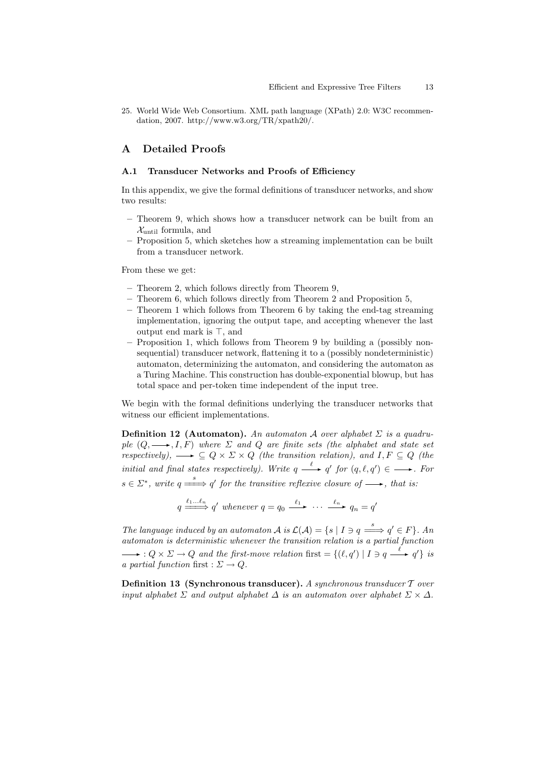25. World Wide Web Consortium. XML path language (XPath) 2.0: W3C recommendation, 2007. http://www.w3.org/TR/xpath20/.

## A Detailed Proofs

## A.1 Transducer Networks and Proofs of Efficiency

In this appendix, we give the formal definitions of transducer networks, and show two results:

- Theorem 9, which shows how a transducer network can be built from an  $\mathcal{X}_{\text{until}}$  formula, and
- Proposition 5, which sketches how a streaming implementation can be built from a transducer network.

From these we get:

- Theorem 2, which follows directly from Theorem 9,
- Theorem 6, which follows directly from Theorem 2 and Proposition 5,
- Theorem 1 which follows from Theorem 6 by taking the end-tag streaming implementation, ignoring the output tape, and accepting whenever the last output end mark is  $\top$ , and
- Proposition 1, which follows from Theorem 9 by building a (possibly nonsequential) transducer network, flattening it to a (possibly nondeterministic) automaton, determinizing the automaton, and considering the automaton as a Turing Machine. This construction has double-exponential blowup, but has total space and per-token time independent of the input tree.

We begin with the formal definitions underlying the transducer networks that witness our efficient implementations.

**Definition 12 (Automaton).** An automaton A over alphabet  $\Sigma$  is a quadruple  $(Q, \longrightarrow, I, F)$  where  $\Sigma$  and  $Q$  are finite sets (the alphabet and state set respectively),  $\longrightarrow \subseteq Q \times \Sigma \times Q$  (the transition relation), and I,  $F \subseteq Q$  (the initial and final states respectively). Write  $q \stackrel{\ell}{\longrightarrow} q'$  for  $(q, \ell, q') \in \longrightarrow$ . For  $s \in \Sigma^*$ , write  $q \stackrel{s}{\Longrightarrow} q'$  for the transitive reflexive closure of  $\longrightarrow$ , that is:

$$
q \xrightarrow{\ell_1 \ldots \ell_n} q' \text{ whenever } q = q_0 \xrightarrow{\ell_1} \cdots \xrightarrow{\ell_n} q_n = q'
$$

The language induced by an automaton  $A$  is  $\mathcal{L}(\mathcal{A}) = \{s | I \ni q \stackrel{s}{\Longrightarrow} q' \in F\}$ . An automaton is deterministic whenever the transition relation is a partial function  $\rightarrow$  :  $Q \times \Sigma \rightarrow Q$  and the first-move relation first = { $(\ell, q') | I \ni q \stackrel{\ell}{\longrightarrow} q'$ } is a partial function first :  $\Sigma \to Q$ .

**Definition 13 (Synchronous transducer).** A synchronous transducer  $T$  over input alphabet  $\Sigma$  and output alphabet  $\Delta$  is an automaton over alphabet  $\Sigma \times \Delta$ .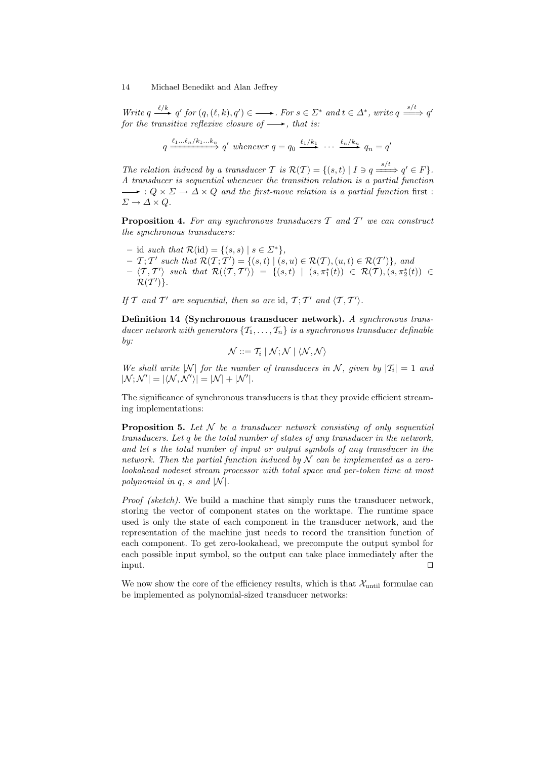Write  $q \stackrel{\ell/k}{\longrightarrow} q'$  for  $(q,(\ell,k), q') \in \longrightarrow$ . For  $s \in \Sigma^*$  and  $t \in \Delta^*$ , write  $q \stackrel{s/t}{\Longrightarrow} q'$ for the transitive reflexive closure of  $\longrightarrow$ , that is:

$$
q \xrightarrow{\ell_1 \dots \ell_n / k_1 \dots k_n} q' \text{ whenever } q = q_0 \xrightarrow{\ell_1 / k_1} \dots \xrightarrow{\ell_n / k_n} q_n = q'
$$

The relation induced by a transducer  $\mathcal T$  is  $\mathcal R(\mathcal T) = \{ (s,t) | I \ni q \stackrel{s/t}{\longrightarrow} q' \in F \}.$ A transducer is sequential whenever the transition relation is a partial function  $\longrightarrow$  :  $Q \times \Sigma \rightarrow \Delta \times Q$  and the first-move relation is a partial function first :  $\Sigma \to \Delta \times Q$ .

**Proposition 4.** For any synchronous transducers  $\mathcal{T}$  and  $\mathcal{T}'$  we can construct the synchronous transducers:

- id such that  $\mathcal{R}(\text{id}) = \{(s, s) \mid s \in \Sigma^*\},$
- $\mathcal{T}; \mathcal{T}'$  such that  $\mathcal{R}(\mathcal{T}; \mathcal{T}') = \{(s, t) \mid (s, u) \in \mathcal{R}(\mathcal{T}), (u, t) \in \mathcal{R}(\mathcal{T}')\},\$ and
- $\langle \mathcal{T}, \mathcal{T}' \rangle$  such that  $\mathcal{R}(\langle \mathcal{T}, \mathcal{T}' \rangle) = \{ (s,t) \mid (s, \pi_1^*(t)) \in \mathcal{R}(\mathcal{T}), (s, \pi_2^*(t)) \in \mathcal{R}(\mathcal{T}) \}$  $\mathcal{R}(\mathcal{T}')$ .

If T and T' are sequential, then so are id,  $T; T'$  and  $\langle T, T' \rangle$ .

Definition 14 (Synchronous transducer network). A synchronous transducer network with generators  $\{T_1, \ldots, T_n\}$  is a synchronous transducer definable by:

$$
\mathcal{N} ::= \mathcal{T}_i \mid \mathcal{N}; \mathcal{N} \mid \langle \mathcal{N}, \mathcal{N} \rangle
$$

We shall write |N| for the number of transducers in N, given by  $|T_i| = 1$  and  $|\mathcal{N}; \mathcal{N}'| = |\langle \mathcal{N}, \mathcal{N}' \rangle| = |\mathcal{N}| + |\mathcal{N}'|.$ 

The significance of synchronous transducers is that they provide efficient streaming implementations:

**Proposition 5.** Let  $\mathcal N$  be a transducer network consisting of only sequential transducers. Let q be the total number of states of any transducer in the network, and let s the total number of input or output symbols of any transducer in the network. Then the partial function induced by  $\mathcal N$  can be implemented as a zerolookahead nodeset stream processor with total space and per-token time at most polynomial in q, s and  $|\mathcal{N}|$ .

Proof (sketch). We build a machine that simply runs the transducer network, storing the vector of component states on the worktape. The runtime space used is only the state of each component in the transducer network, and the representation of the machine just needs to record the transition function of each component. To get zero-lookahead, we precompute the output symbol for each possible input symbol, so the output can take place immediately after the input.  $\square$ 

We now show the core of the efficiency results, which is that  $\mathcal{X}_{\text{until}}$  formulae can be implemented as polynomial-sized transducer networks: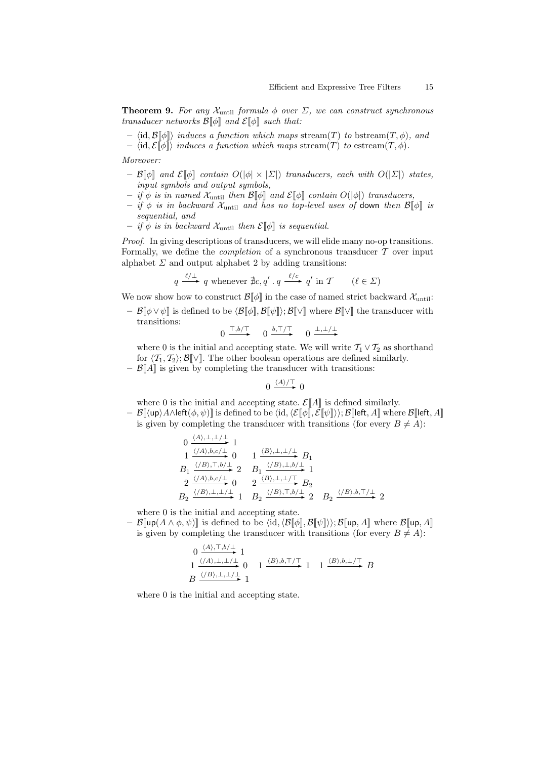**Theorem 9.** For any  $\mathcal{X}_{\text{until}}$  formula  $\phi$  over  $\Sigma$ , we can construct synchronous transducer networks  $\mathcal{B}[\![\phi]\!]$  and  $\mathcal{E}[\![\phi]\!]$  such that:

–  $\langle id, \mathcal{B}[\![\phi]\!] \rangle$  induces a function which maps stream(T) to bstream(T,  $\phi$ ), and

 $-\langle id, \mathcal{E}[\phi]\rangle$  induces a function which maps stream(T) to estream(T,  $\phi$ ).

Moreover:

- $-$  B[ $\phi$ ] and E[ $\phi$ ] contain  $O(|\phi| \times |\Sigma|)$  transducers, each with  $O(|\Sigma|)$  states, input symbols and output symbols,
- if  $\phi$  is in named  $\mathcal{X}_{\text{until}}$  then  $\mathcal{B}[\![\phi]\!]$  and  $\mathcal{E}[\![\phi]\!]$  contain  $O(|\phi|)$  transducers,
- if  $\phi$  is in backward  $\mathcal{X}_{\text{until}}$  and has no top-level uses of down then  $\mathcal{B}[\![\phi]\!]$  is sequential, and
- if  $\phi$  is in backward  $\mathcal{X}_{\text{until}}$  then  $\mathcal{E}[\![\phi]\!]$  is sequential.

Proof. In giving descriptions of transducers, we will elide many no-op transitions. Formally, we define the *completion* of a synchronous transducer  $\mathcal T$  over input alphabet  $\Sigma$  and output alphabet 2 by adding transitions:

$$
q \xrightarrow{\ell/\perp} q \text{ whenever } \nexists c, q'. q \xrightarrow{\ell/c} q' \text{ in } \mathcal{T} \qquad (\ell \in \Sigma)
$$

We now show how to construct  $\mathcal{B}[\![\phi]\!]$  in the case of named strict backward  $\mathcal{X}_{\text{until}}$ :

–  $\mathcal{B}[\![\phi \vee \psi]\!]$  is defined to be  $\langle \mathcal{B}[\![\phi]\!], \mathcal{B}[\![\psi]\!]\rangle; \mathcal{B}[\![\vee]\!]$  where  $\mathcal{B}[\![\vee]\!]$  the transducer with transitions:

$$
0 \xrightarrow{\top, b/\top} 0 \xrightarrow{b,\top/\top} 0 \xrightarrow{\bot, \bot/\bot}
$$

where 0 is the initial and accepting state. We will write  $\mathcal{T}_1 \vee \mathcal{T}_2$  as shorthand for  $\langle \mathcal{T}_1, \mathcal{T}_2 \rangle$ ;  $\mathcal{B}[\![\vee]\!]$ . The other boolean operations are defined similarly.

 $\mathcal{B}[\![A]\!]$  is given by completing the transducer with transitions:

$$
0 \xrightarrow{\langle A \rangle / \top} 0
$$

where 0 is the initial and accepting state.  $\mathcal{E}[A]$  is defined similarly.

 $\mathcal{B}[\![\langle \mathsf{up}\rangle\!\rangle A\land$ left $(\phi, \psi)]$  is defined to be  $\langle \mathrm{id},\langle \mathcal{E}[\![\phi]\!], \tilde{\mathcal{E}}[\![\psi]\!]\rangle \rangle; \mathcal{B}[\![$ left,  $A]\!]$  where  $\mathcal{B}[\![$ left,  $A]\!]$ is given by completing the transducer with transitions (for every  $B \neq A$ ):

$$
\begin{array}{ccc}\n0 & \xrightarrow{\langle A \rangle, \perp, \perp/\perp} 1 \\
1 & \xrightarrow{\langle /A \rangle, b, c/\perp} 0 & 1 \xrightarrow{\langle B \rangle, \perp, \perp/\perp} B_1 \\
B_1 & \xrightarrow{\langle /B \rangle, \top, b/\perp} 2 & B_1 \xrightarrow{\langle /B \rangle, \perp, b/\perp} 1 \\
2 & \xrightarrow{\langle /A \rangle, b, c/\perp} 0 & 2 \xrightarrow{\langle B \rangle, \perp, \perp/\perp} B_2 \\
B_2 & \xrightarrow{\langle /B \rangle, \perp, \perp/\perp} 1 & B_2 \xrightarrow{\langle /B \rangle, \top, b/\perp} 2 & B_2 \xrightarrow{\langle /B \rangle, b, \top/\perp} 2\n\end{array}
$$

where 0 is the initial and accepting state.

 $-I\mathcal{B}[\![\mathsf{up}(A \wedge \phi, \psi)]\!]$  is defined to be  $\langle id, \langle \mathcal{B}[\![\phi]\!], \mathcal{B}[\![\psi]\!]\rangle\rangle; \mathcal{B}[\![\mathsf{up}, A]\!]$  where  $\mathcal{B}[\![\mathsf{up}, A]\!]$ is given by completing the transducer with transitions (for every  $B \neq A$ ):

$$
\begin{array}{ccc}\n & 0 \xrightarrow{\langle A \rangle, \top, b/\bot} 1 \\
 & 1 \xrightarrow{\langle \prime A \rangle, \bot, \bot/\bot} 0 & 1 \xrightarrow{\langle B \rangle, b, \top/\top} 1 & 1 \xrightarrow{\langle B \rangle, b, \bot/\top} B \\
 & B \xrightarrow{\langle \prime B \rangle, \bot, \bot/\bot} 1 & \end{array}
$$

where 0 is the initial and accepting state.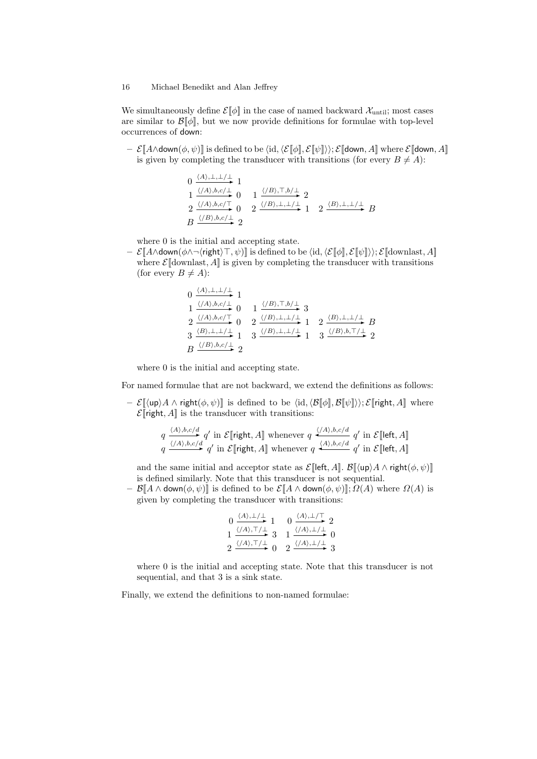We simultaneously define  $\mathcal{E}[\![\phi]\!]$  in the case of named backward  $\mathcal{X}_{\mathrm{until}};$  most cases are similar to  $\mathcal{B}[\![\phi]\!]$ , but we now provide definitions for formulae with top-level occurrences of down:

 $\mathcal{E}[\mathcal{A}\wedge \mathsf{down}(\phi,\psi)]$  is defined to be  $\langle \mathrm{id},\langle \mathcal{E}[\![\phi]\!], \mathcal{E}[\![\psi]\!]\rangle\rangle; \mathcal{E}[\![\mathsf{down}, A]\!]$  where  $\mathcal{E}[\![\mathsf{down}, A]\!]$ is given by completing the transducer with transitions (for every  $B \neq A$ ):

$$
\begin{array}{ccc}\n0 & \xrightarrow{\langle A \rangle, \perp, \perp/\perp} 1 \\
1 & \xrightarrow{\langle/A \rangle, b, c/\perp} 0 & 1 \xrightarrow{\langle/B \rangle, \perp, b/\perp} 2 \\
2 & \xrightarrow{\langle/A \rangle, b, c/\perp} 0 & 2 \xrightarrow{\langle/B \rangle, \perp, \perp/\perp} 1 & 2 \xrightarrow{\langle B \rangle, \perp, \perp/\perp} B \\
B & \xrightarrow{\langle/B \rangle, b, c/\perp} 2\n\end{array}
$$

where 0 is the initial and accepting state.

 $\mathcal{E} = \mathcal{E}[\mathbf{A} \wedge \mathsf{down}(\phi \wedge \neg \langle \mathsf{right}\rangle \top, \psi)]$  is defined to be  $\langle id, \langle \mathcal{E}[\![\phi]\!], \mathcal{E}[\![\psi]\!]\rangle \rangle; \mathcal{E}[\![\text{downlast}, A]\!]$ where  $\mathcal{E}$  downlast,  $A$  is given by completing the transducer with transitions (for every  $B \neq A$ ):

$$
\begin{array}{llllll}0&\xrightarrow{\langle A \rangle,\perp,\perp/\perp}&1\\
1&\xrightarrow{\langle/A \rangle,b,c/\perp}&0&1\xrightarrow{\langle/B \rangle,\top,b/\perp}&3\\
2&\xrightarrow{\langle/A \rangle,b,c/\top}&0&2\xrightarrow{\langle/B \rangle,\perp,\perp/\perp}&1&2\xrightarrow{\langle B \rangle,\perp,\perp/\perp}&B\\
3&\xrightarrow{\langle B \rangle,\perp,\perp/\perp}&1&3\xrightarrow{\langle/B \rangle,\perp,\perp/\perp}&1&3\xrightarrow{\langle/B \rangle,b,\top/\perp}&2\\
B&\xrightarrow{\langle/B \rangle,b,c/\perp}&2&\\
\end{array}
$$

where 0 is the initial and accepting state.

For named formulae that are not backward, we extend the definitions as follows:

 $\mathcal{E}[\psi]\mathcal{A} \wedge \mathsf{right}(\phi, \psi)]$  is defined to be  $\langle id, \langle \mathcal{B}[\![\phi]\!], \mathcal{B}[\![\psi]\!]\rangle \rangle; \mathcal{E}[\![\mathsf{right}, \mathcal{A}]\!]$  where  $\mathcal{E}[\![\mathsf{right}, A]\!]$  is the transducer with transitions:

$$
q \xrightarrow{\langle A \rangle, b, c/d} q' \text{ in } \mathcal{E}[\text{right}, A] \text{ whenever } q \xleftarrow{\langle A \rangle, b, c/d} q' \text{ in } \mathcal{E}[\text{left}, A]
$$
  

$$
q \xleftarrow{\langle A \rangle, b, c/d} q' \text{ in } \mathcal{E}[\text{right}, A] \text{ whenever } q \xleftarrow{\langle A \rangle, b, c/d} q' \text{ in } \mathcal{E}[\text{left}, A]
$$

and the same initial and acceptor state as  $\mathcal{E}[\text{left}, A]$ .  $\mathcal{B}[\langle \text{up} \rangle A \wedge \text{right}(\phi, \psi)]$ is defined similarly. Note that this transducer is not sequential.

 $-\mathcal{B}[\![A \wedge \text{down}(\phi, \psi)]\!]$  is defined to be  $\mathcal{E}[\![A \wedge \text{down}(\phi, \psi)]\!]$ ;  $\Omega(A)$  where  $\Omega(A)$  is given by completing the transducer with transitions:

$$
\begin{array}{ccc}\n & 0 \xrightarrow{\langle A \rangle, \perp/\perp} 1 & 0 \xrightarrow{\langle A \rangle, \perp/\top} 2 \\
1 & \xrightarrow{\langle/A \rangle, \top/\perp} 3 & 1 \xrightarrow{\langle/A \rangle, \perp/\perp} 0 \\
2 & \xrightarrow{\langle/A \rangle, \top/\perp} 0 & 2 \xrightarrow{\langle/A \rangle, \perp/\perp} 3\n\end{array}
$$

where 0 is the initial and accepting state. Note that this transducer is not sequential, and that 3 is a sink state.

Finally, we extend the definitions to non-named formulae: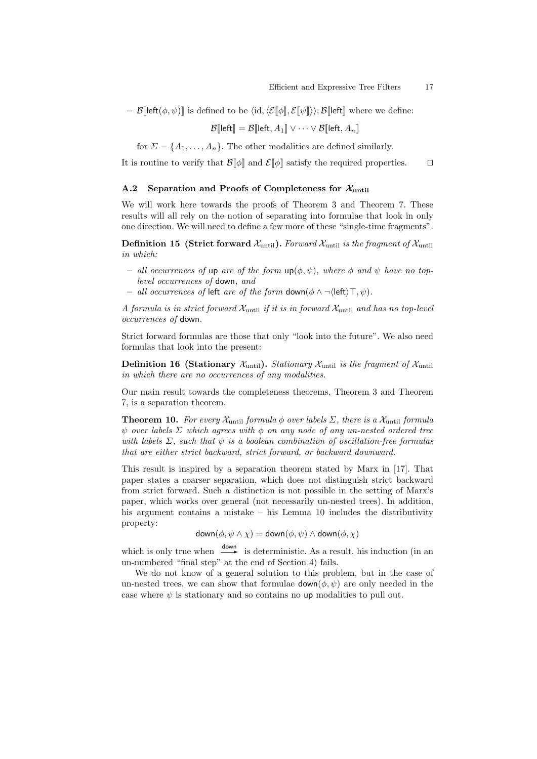–  $\mathcal{B}[\text{left}(\phi,\psi)]$  is defined to be  $\langle id,\langle \mathcal{E}[\![\phi]\!], \mathcal{E}[\![\psi]\!]\rangle;\mathcal{B}[\![\text{left}]\!]$  where we define:

$$
\mathcal{B}[\![\mathsf{left}]\!]=\mathcal{B}[\![\mathsf{left},A_1]\!]\vee\cdots\vee\mathcal{B}[\![\mathsf{left},A_n]\!]
$$

for  $\Sigma = \{A_1, \ldots, A_n\}$ . The other modalities are defined similarly.

It is routine to verify that  $\mathcal{B}[\![\phi]\!]$  and  $\mathcal{E}[\![\phi]\!]$  satisfy the required properties.  $\Box$ 

## A.2 Separation and Proofs of Completeness for  $\mathcal{X}_{\text{until}}$

We will work here towards the proofs of Theorem 3 and Theorem 7. These results will all rely on the notion of separating into formulae that look in only one direction. We will need to define a few more of these "single-time fragments".

**Definition 15 (Strict forward**  $\mathcal{X}_{\text{until}}$ **).** Forward  $\mathcal{X}_{\text{until}}$  is the fragment of  $\mathcal{X}_{\text{until}}$ in which:

- all occurrences of up are of the form  $\text{up}(\phi, \psi)$ , where  $\phi$  and  $\psi$  have no toplevel occurrences of down, and
- all occurrences of left are of the form  $\mathsf{down}(\phi \wedge \neg \langle \mathsf{left} \rangle \top, \psi)$ .

A formula is in strict forward  $\mathcal{X}_{\text{until}}$  if it is in forward  $\mathcal{X}_{\text{until}}$  and has no top-level occurrences of down.

Strict forward formulas are those that only "look into the future". We also need formulas that look into the present:

**Definition 16 (Stationary**  $\mathcal{X}_{\text{until}}$ **).** Stationary  $\mathcal{X}_{\text{until}}$  is the fragment of  $\mathcal{X}_{\text{until}}$ in which there are no occurrences of any modalities.

Our main result towards the completeness theorems, Theorem 3 and Theorem 7, is a separation theorem.

**Theorem 10.** For every  $\mathcal{X}_{\text{until}}$  formula  $\phi$  over labels  $\Sigma$ , there is a  $\mathcal{X}_{\text{until}}$  formula  $\psi$  over labels  $\Sigma$  which agrees with  $\phi$  on any node of any un-nested ordered tree with labels  $\Sigma$ , such that  $\psi$  is a boolean combination of oscillation-free formulas that are either strict backward, strict forward, or backward downward.

This result is inspired by a separation theorem stated by Marx in [17]. That paper states a coarser separation, which does not distinguish strict backward from strict forward. Such a distinction is not possible in the setting of Marx's paper, which works over general (not necessarily un-nested trees). In addition, his argument contains a mistake – his Lemma 10 includes the distributivity property:

 $down(\phi, \psi \wedge \chi) = down(\phi, \psi) \wedge down(\phi, \chi)$ 

which is only true when  $\stackrel{\text{down}}{\longrightarrow}$  is deterministic. As a result, his induction (in an un-numbered "final step" at the end of Section 4) fails.

We do not know of a general solution to this problem, but in the case of un-nested trees, we can show that formulae  $\mathsf{down}(\phi, \psi)$  are only needed in the case where  $\psi$  is stationary and so contains no up modalities to pull out.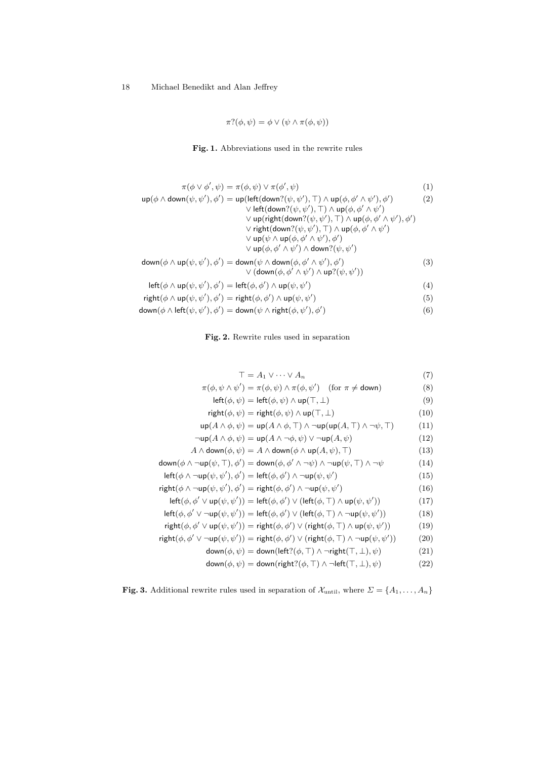$$
\pi?(\phi, \psi) = \phi \lor (\psi \land \pi(\phi, \psi))
$$

#### Fig. 1. Abbreviations used in the rewrite rules

$$
\pi(\phi \vee \phi', \psi) = \pi(\phi, \psi) \vee \pi(\phi', \psi)
$$
\n(1)

$$
\mathsf{up}(\phi \land \mathsf{down}(\psi, \psi'), \phi') = \mathsf{up}(\mathsf{left}(\mathsf{down}?\langle \psi, \psi'), \top) \land \mathsf{up}(\phi, \phi' \land \psi'), \phi') \tag{2}
$$
\n
$$
\lor \mathsf{left}(\mathsf{down}?\langle \psi, \psi', \top \rangle \land \mathsf{up}(\phi, \phi' \land \psi'), \phi') \tag{2}
$$
\n
$$
\lor \mathsf{up}(\mathsf{right}(\mathsf{down}?\langle \psi, \psi'), \top) \land \mathsf{up}(\phi, \phi' \land \psi') \tag{2}
$$
\n
$$
\lor \mathsf{up}(\mathsf{right}(\mathsf{down}?\langle \psi, \psi'), \top) \land \mathsf{up}(\phi, \phi' \land \psi'), \phi') \tag{2}
$$
\n
$$
\lor \mathsf{right}(\mathsf{down}?\langle \psi, \psi'), \top) \land \mathsf{up}(\phi, \phi' \land \psi'), \phi')
$$
\n
$$
\lor \mathsf{up}(\psi \land \mathsf{up}(\phi, \phi' \land \psi'), \phi') \tag{3}
$$
\n
$$
\lor \mathsf{down}(\phi, \phi' \land \psi') \land \mathsf{down}?\langle \psi, \psi' \rangle \tag{3}
$$
\n
$$
\lor (\mathsf{down}(\phi, \phi' \land \psi') \land \mathsf{up}?\langle \psi, \psi') \rangle \tag{3}
$$
\n
$$
\mathsf{left}(\phi \land \mathsf{up}(\psi, \psi'), \phi') = \mathsf{left}(\phi, \phi') \land \mathsf{up}(\psi, \psi') \tag{4}
$$
\n
$$
\mathsf{right}(\phi \land \mathsf{up}(\psi, \psi'), \phi') = \mathsf{right}(\phi, \phi') \land \mathsf{up}(\psi, \psi') \tag{5}
$$

$$
down(\phi \wedge left(\psi, \psi'), \phi') = down(\psi \wedge right(\phi, \psi'), \phi')
$$
\n(6)

## Fig. 2. Rewrite rules used in separation

$$
\top = A_1 \vee \cdots \vee A_n \tag{7}
$$

$$
\pi(\phi, \psi \wedge \psi') = \pi(\phi, \psi) \wedge \pi(\phi, \psi') \quad \text{(for } \pi \neq \text{down)}
$$
 (8)

$$
left(\phi, \psi) = left(\phi, \psi) \land up(T, \bot)
$$
\n
$$
right(\phi, \psi) = right(\phi, \psi) \land up(T, \bot)
$$
\n(9)

$$
right(\phi, \psi) = right(\phi, \psi) \land up(1, \perp)
$$
\n
$$
up(A \land \phi, \psi) = up(A \land \phi, \top) \land \neg up(up(A, \top) \land \neg \psi, \top)
$$
\n(11)

$$
\mathsf{u} \mathsf{p}(A \land \varphi, \psi) = \mathsf{u} \mathsf{p}(A \land \varphi, \bot) \land \mathsf{u} \mathsf{p}(\mathsf{u} \mathsf{p}(A, \bot) \land \mathsf{v} \varphi, \bot) \tag{11}
$$
\n
$$
\neg \mathsf{u} \mathsf{p}(A \land \varphi, \psi) = \mathsf{u} \mathsf{p}(A \land \neg \varphi, \psi) \lor \neg \mathsf{u} \mathsf{p}(A, \psi) \tag{12}
$$

$$
A \wedge \text{down}(\phi, \psi) = A \wedge \text{down}(\phi \wedge \text{up}(A, \psi), \top) \tag{12}
$$
  

$$
A \wedge \text{down}(\phi, \psi) = A \wedge \text{down}(\phi \wedge \text{up}(A, \psi), \top) \tag{13}
$$

$$
\text{down}(\phi \land \neg \text{up}(\psi, \top), \phi') = \text{down}(\phi, \phi' \land \neg \psi) \land \neg \text{up}(\psi, \top) \land \neg \psi \tag{14}
$$

$$
left(\phi \land \neg up(\psi, \psi'), \phi') = left(\phi, \phi') \land \neg up(\psi, \psi') \tag{15}
$$

$$
\mathsf{right}(\phi \land \neg \mathsf{up}(\psi, \psi'), \phi') = \mathsf{right}(\phi, \phi') \land \neg \mathsf{up}(\psi, \psi')
$$
\n(16)

$$
left(\phi, \phi' \lor up(\psi, \psi')) = left(\phi, \phi') \lor (left(\phi, \top) \land up(\psi, \psi'))
$$
\n(17)

$$
left(\phi, \phi' \lor \neg up(\psi, \psi')) = left(\phi, \phi') \lor (left(\phi, \top) \land \neg up(\psi, \psi'))
$$
\n(18)

$$
\text{right}(\phi, \phi' \lor \text{up}(\psi, \psi')) = \text{right}(\phi, \phi') \lor (\text{right}(\phi, \top) \land \text{up}(\psi, \psi')) \tag{19}
$$

$$
\text{right}(\phi, \phi' \lor \neg \text{up}(\psi, \psi')) = \text{right}(\phi, \phi') \lor (\text{right}(\phi, \top) \land \neg \text{up}(\psi, \psi')) \tag{20}
$$

$$
\text{down}(\phi, \psi) = \text{down}(\text{left?}(\phi, \top) \land \neg \text{right}(\top, \bot), \psi) \tag{21}
$$

$$
\text{down}(\phi, \psi) = \text{down}(\text{right?}(\phi, \top) \land \neg \text{left}(\top, \bot), \psi)
$$
 (22)

$$
down(\phi, \psi) = down(right: (\phi, +) \land \neg left(+, \bot), \psi)
$$
 (22)

## Fig. 3. Additional rewrite rules used in separation of  $\mathcal{X}_{\text{until}}$ , where  $\Sigma = \{A_1, \ldots, A_n\}$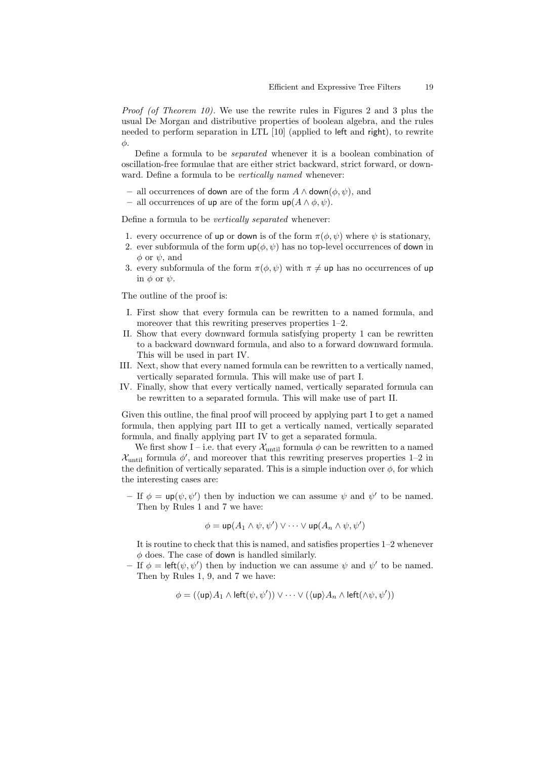*Proof (of Theorem 10).* We use the rewrite rules in Figures 2 and 3 plus the usual De Morgan and distributive properties of boolean algebra, and the rules needed to perform separation in LTL [10] (applied to left and right), to rewrite φ.

Define a formula to be separated whenever it is a boolean combination of oscillation-free formulae that are either strict backward, strict forward, or downward. Define a formula to be *vertically named* whenever:

- all occurrences of down are of the form  $A \wedge$  down( $φ, ψ$ ), and
- all occurrences of up are of the form  $up(A \wedge \phi, \psi)$ .

Define a formula to be vertically separated whenever:

- 1. every occurrence of up or down is of the form  $\pi(\phi, \psi)$  where  $\psi$  is stationary,
- 2. ever subformula of the form  $\text{up}(\phi, \psi)$  has no top-level occurrences of down in  $\phi$  or  $\psi$ , and
- 3. every subformula of the form  $\pi(\phi, \psi)$  with  $\pi \neq \mathsf{up}$  has no occurrences of up in  $\phi$  or  $\psi$ .

The outline of the proof is:

- I. First show that every formula can be rewritten to a named formula, and moreover that this rewriting preserves properties  $1-2$ .
- II. Show that every downward formula satisfying property 1 can be rewritten to a backward downward formula, and also to a forward downward formula. This will be used in part IV.
- III. Next, show that every named formula can be rewritten to a vertically named, vertically separated formula. This will make use of part I.
- IV. Finally, show that every vertically named, vertically separated formula can be rewritten to a separated formula. This will make use of part II.

Given this outline, the final proof will proceed by applying part I to get a named formula, then applying part III to get a vertically named, vertically separated formula, and finally applying part IV to get a separated formula.

We first show I – i.e. that every  $\mathcal{X}_{\text{until}}$  formula  $\phi$  can be rewritten to a named  $\mathcal{X}_{\text{until}}$  formula  $\phi'$ , and moreover that this rewriting preserves properties 1–2 in the definition of vertically separated. This is a simple induction over  $\phi$ , for which the interesting cases are:

- If  $\phi = \text{up}(\psi, \psi')$  then by induction we can assume  $\psi$  and  $\psi'$  to be named. Then by Rules 1 and 7 we have:

$$
\phi = \text{up}(A_1 \wedge \psi, \psi') \vee \cdots \vee \text{up}(A_n \wedge \psi, \psi')
$$

It is routine to check that this is named, and satisfies properties 1–2 whenever  $\phi$  does. The case of down is handled similarly.

- If  $\phi = \text{left}(\psi, \psi')$  then by induction we can assume  $\psi$  and  $\psi'$  to be named. Then by Rules 1, 9, and 7 we have:

$$
\phi = (\langle \mathsf{up} \rangle A_1 \wedge \mathsf{left}(\psi, \psi') \rangle \vee \cdots \vee (\langle \mathsf{up} \rangle A_n \wedge \mathsf{left}(\wedge \psi, \psi') \rangle
$$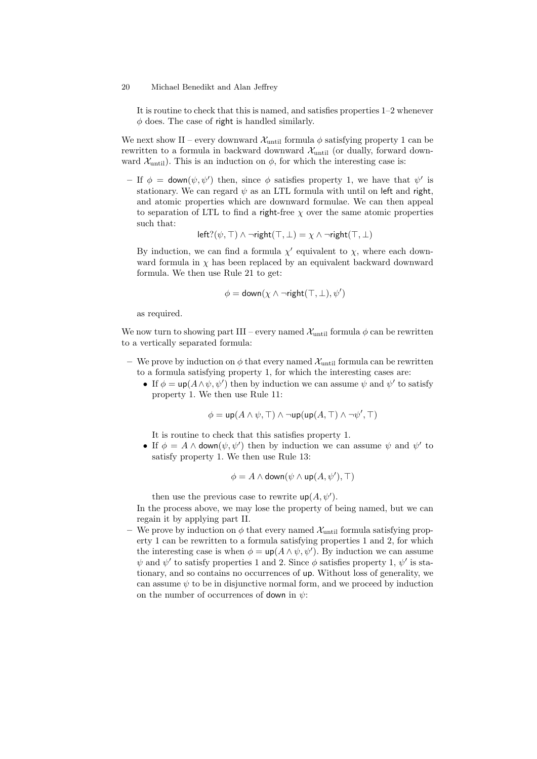It is routine to check that this is named, and satisfies properties 1–2 whenever  $\phi$  does. The case of right is handled similarly.

We next show II – every downward  $\mathcal{X}_{\text{until}}$  formula  $\phi$  satisfying property 1 can be rewritten to a formula in backward downward  $\mathcal{X}_{\text{until}}$  (or dually, forward downward  $\mathcal{X}_{\text{until}}$ ). This is an induction on  $\phi$ , for which the interesting case is:

- If  $\phi = \text{down}(\psi, \psi')$  then, since  $\phi$  satisfies property 1, we have that  $\psi'$  is stationary. We can regard  $\psi$  as an LTL formula with until on left and right, and atomic properties which are downward formulae. We can then appeal to separation of LTL to find a right-free  $\chi$  over the same atomic properties such that:

left?( $\psi$ , T)  $\wedge$  ¬right( $\top$ ,  $\bot$ ) =  $\chi$   $\wedge$  ¬right( $\top$ ,  $\bot$ )

By induction, we can find a formula  $\chi'$  equivalent to  $\chi$ , where each downward formula in  $\chi$  has been replaced by an equivalent backward downward formula. We then use Rule 21 to get:

$$
\phi = \text{down}(\chi \wedge \neg \text{right}(\top, \bot), \psi')
$$

as required.

We now turn to showing part III – every named  $\mathcal{X}_{\text{until}}$  formula  $\phi$  can be rewritten to a vertically separated formula:

- We prove by induction on  $\phi$  that every named  $\mathcal{X}_{\text{until}}$  formula can be rewritten to a formula satisfying property 1, for which the interesting cases are:
	- If  $\phi = \text{up}(A \wedge \psi, \psi')$  then by induction we can assume  $\psi$  and  $\psi'$  to satisfy property 1. We then use Rule 11:

 $\phi = \textsf{up}(A \land \psi, \top) \land \neg \textsf{up}(\textsf{up}(A, \top) \land \neg \psi', \top)$ 

It is routine to check that this satisfies property 1.

• If  $\phi = A \wedge \text{down}(\psi, \psi')$  then by induction we can assume  $\psi$  and  $\psi'$  to satisfy property 1. We then use Rule 13:

 $\phi = A \wedge \text{down}(\psi \wedge \text{up}(A, \psi'), \top)$ 

then use the previous case to rewrite  $\textsf{up}(A, \psi')$ .

In the process above, we may lose the property of being named, but we can regain it by applying part II.

– We prove by induction on  $\phi$  that every named  $\mathcal{X}_{\text{until}}$  formula satisfying property 1 can be rewritten to a formula satisfying properties 1 and 2, for which the interesting case is when  $\phi = \text{up}(A \wedge \psi, \psi')$ . By induction we can assume  $\psi$  and  $\psi'$  to satisfy properties 1 and 2. Since  $\phi$  satisfies property 1,  $\psi'$  is stationary, and so contains no occurrences of up. Without loss of generality, we can assume  $\psi$  to be in disjunctive normal form, and we proceed by induction on the number of occurrences of down in  $\psi$ :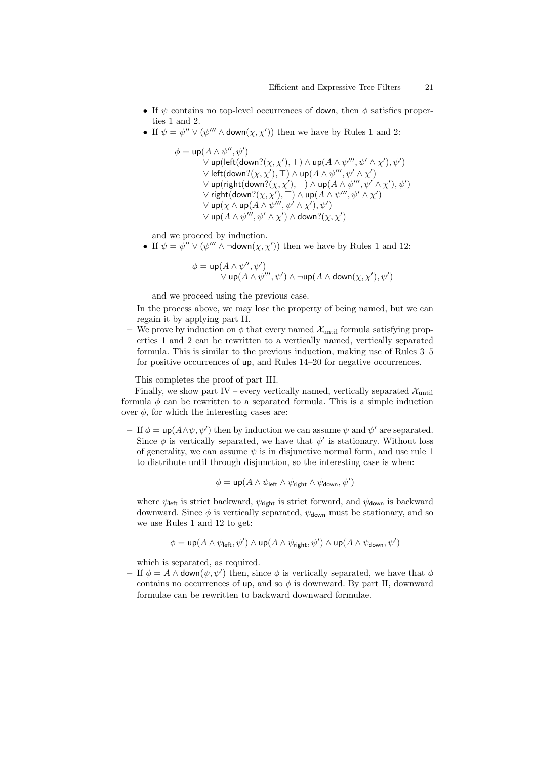- If  $\psi$  contains no top-level occurrences of down, then  $\phi$  satisfies properties 1 and 2.
- If  $\psi = \psi'' \vee (\psi''' \wedge \text{down}(\chi, \chi'))$  then we have by Rules 1 and 2:

 $\phi = \textsf{up}(A \land \psi'', \psi')$  $\vee$  up(left(down? $(\chi, \chi'), \top$ )  $\wedge$  up( $A \wedge \psi'''$ ,  $\psi' \wedge \chi'$ ),  $\psi'$ )  $\vee$  left(down?( $\chi, \chi'$ ), ⊤) ∧ up( $A \wedge \psi'''$ ,  $\psi' \wedge \chi'$ )  $\vee$  up(right(down? $(\chi, \chi'), \top$ )  $\wedge$  up( $A \wedge \psi'''$ ,  $\psi' \wedge \chi'$ ),  $\psi'$ )  $\vee$  right(down?( $\chi, \chi'$ ), ⊤) ∧ up( $A \wedge \psi''', \psi' \wedge \chi'$ )  $\vee$  up( $\chi \wedge$  up( $A \wedge \psi'''$ ,  $\psi' \wedge \chi'$ ),  $\psi'$ )  $\vee$  up $(A \wedge \psi''', \psi' \wedge \chi') \wedge$  down? $(\chi, \chi')$ 

and we proceed by induction.

• If  $\psi = \psi'' \vee (\psi''' \wedge \neg \text{down}(\chi, \chi'))$  then we have by Rules 1 and 12:

$$
\phi = \text{up}(A \land \psi'', \psi')
$$
  
 
$$
\lor \text{up}(A \land \psi''', \psi') \land \neg \text{up}(A \land \text{down}(\chi, \chi'), \psi')
$$

and we proceed using the previous case.

In the process above, we may lose the property of being named, but we can regain it by applying part II.

– We prove by induction on  $\phi$  that every named  $\mathcal{X}_{\text{until}}$  formula satisfying properties 1 and 2 can be rewritten to a vertically named, vertically separated formula. This is similar to the previous induction, making use of Rules 3–5 for positive occurrences of up, and Rules 14–20 for negative occurrences.

This completes the proof of part III.

Finally, we show part IV – every vertically named, vertically separated  $\mathcal{X}_{\text{until}}$ formula  $\phi$  can be rewritten to a separated formula. This is a simple induction over  $φ$ , for which the interesting cases are:

- If  $\phi = \text{up}(A \wedge \psi, \psi')$  then by induction we can assume  $\psi$  and  $\psi'$  are separated. Since  $\phi$  is vertically separated, we have that  $\psi'$  is stationary. Without loss of generality, we can assume  $\psi$  is in disjunctive normal form, and use rule 1 to distribute until through disjunction, so the interesting case is when:

$$
\phi = \mathrm{up}(A \wedge \psi_\text{left} \wedge \psi_\text{right} \wedge \psi_\text{down}, \psi')
$$

where  $\psi_{\text{left}}$  is strict backward,  $\psi_{\text{right}}$  is strict forward, and  $\psi_{\text{down}}$  is backward downward. Since  $\phi$  is vertically separated,  $\psi_{\text{down}}$  must be stationary, and so we use Rules 1 and 12 to get:

$$
\phi = \text{up}(A \wedge \psi_{\text{left}}, \psi') \wedge \text{up}(A \wedge \psi_{\text{right}}, \psi') \wedge \text{up}(A \wedge \psi_{\text{down}}, \psi')
$$

which is separated, as required.

- If  $\phi = A \wedge \text{down}(\psi, \psi')$  then, since  $\phi$  is vertically separated, we have that  $\phi$ contains no occurrences of up, and so  $\phi$  is downward. By part II, downward formulae can be rewritten to backward downward formulae.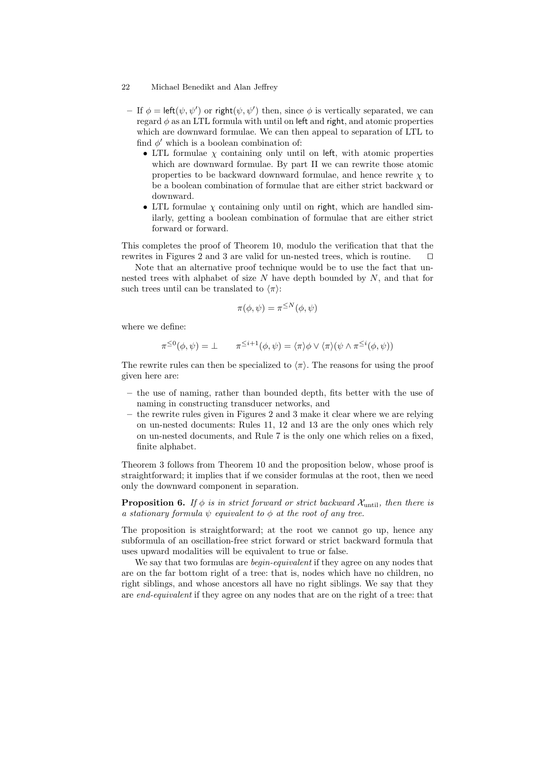- If  $\phi = \text{left}(\psi, \psi')$  or right $(\psi, \psi')$  then, since  $\phi$  is vertically separated, we can regard  $\phi$  as an LTL formula with until on left and right, and atomic properties which are downward formulae. We can then appeal to separation of LTL to find  $\phi'$  which is a boolean combination of:
	- LTL formulae  $\chi$  containing only until on left, with atomic properties which are downward formulae. By part II we can rewrite those atomic properties to be backward downward formulae, and hence rewrite  $\chi$  to be a boolean combination of formulae that are either strict backward or downward.
	- LTL formulae  $\chi$  containing only until on right, which are handled similarly, getting a boolean combination of formulae that are either strict forward or forward.

This completes the proof of Theorem 10, modulo the verification that that the rewrites in Figures 2 and 3 are valid for un-nested trees, which is routine.  $\square$ 

Note that an alternative proof technique would be to use the fact that unnested trees with alphabet of size  $N$  have depth bounded by  $N$ , and that for such trees until can be translated to  $\langle \pi \rangle$ :

$$
\pi(\phi,\psi) = \pi^{\leq N}(\phi,\psi)
$$

where we define:

$$
\pi^{\leq 0}(\phi,\psi) = \bot \qquad \pi^{\leq i+1}(\phi,\psi) = \langle \pi \rangle \phi \vee \langle \pi \rangle (\psi \wedge \pi^{\leq i}(\phi,\psi))
$$

The rewrite rules can then be specialized to  $\langle \pi \rangle$ . The reasons for using the proof given here are:

- the use of naming, rather than bounded depth, fits better with the use of naming in constructing transducer networks, and
- the rewrite rules given in Figures 2 and 3 make it clear where we are relying on un-nested documents: Rules 11, 12 and 13 are the only ones which rely on un-nested documents, and Rule 7 is the only one which relies on a fixed, finite alphabet.

Theorem 3 follows from Theorem 10 and the proposition below, whose proof is straightforward; it implies that if we consider formulas at the root, then we need only the downward component in separation.

**Proposition 6.** If  $\phi$  is in strict forward or strict backward  $\mathcal{X}_{\text{until}}$ , then there is a stationary formula  $\psi$  equivalent to  $\phi$  at the root of any tree.

The proposition is straightforward; at the root we cannot go up, hence any subformula of an oscillation-free strict forward or strict backward formula that uses upward modalities will be equivalent to true or false.

We say that two formulas are *begin-equivalent* if they agree on any nodes that are on the far bottom right of a tree: that is, nodes which have no children, no right siblings, and whose ancestors all have no right siblings. We say that they are end-equivalent if they agree on any nodes that are on the right of a tree: that

<sup>22</sup> Michael Benedikt and Alan Jeffrey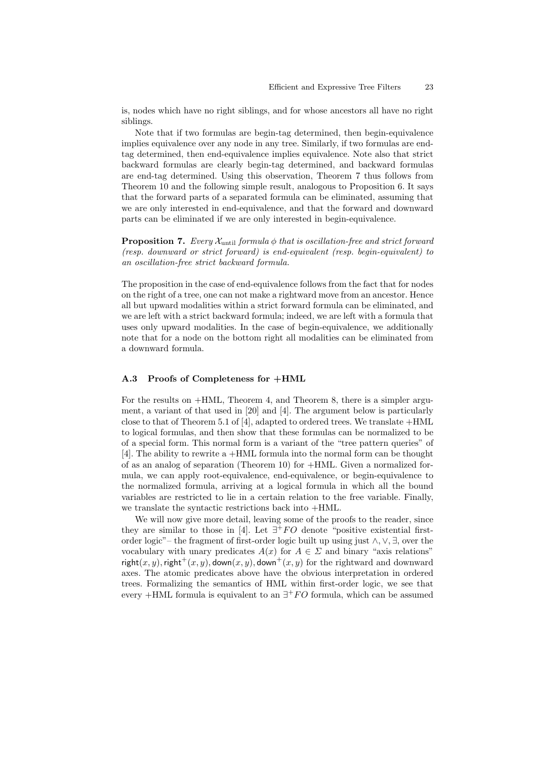is, nodes which have no right siblings, and for whose ancestors all have no right siblings.

Note that if two formulas are begin-tag determined, then begin-equivalence implies equivalence over any node in any tree. Similarly, if two formulas are endtag determined, then end-equivalence implies equivalence. Note also that strict backward formulas are clearly begin-tag determined, and backward formulas are end-tag determined. Using this observation, Theorem 7 thus follows from Theorem 10 and the following simple result, analogous to Proposition 6. It says that the forward parts of a separated formula can be eliminated, assuming that we are only interested in end-equivalence, and that the forward and downward parts can be eliminated if we are only interested in begin-equivalence.

**Proposition 7.** Every  $\mathcal{X}_{\text{until}}$  formula  $\phi$  that is oscillation-free and strict forward (resp. downward or strict forward) is end-equivalent (resp. begin-equivalent) to an oscillation-free strict backward formula.

The proposition in the case of end-equivalence follows from the fact that for nodes on the right of a tree, one can not make a rightward move from an ancestor. Hence all but upward modalities within a strict forward formula can be eliminated, and we are left with a strict backward formula; indeed, we are left with a formula that uses only upward modalities. In the case of begin-equivalence, we additionally note that for a node on the bottom right all modalities can be eliminated from a downward formula.

### A.3 Proofs of Completeness for +HML

For the results on +HML, Theorem 4, and Theorem 8, there is a simpler argument, a variant of that used in [20] and [4]. The argument below is particularly close to that of Theorem 5.1 of [4], adapted to ordered trees. We translate +HML to logical formulas, and then show that these formulas can be normalized to be of a special form. This normal form is a variant of the "tree pattern queries" of [4]. The ability to rewrite a +HML formula into the normal form can be thought of as an analog of separation (Theorem 10) for +HML. Given a normalized formula, we can apply root-equivalence, end-equivalence, or begin-equivalence to the normalized formula, arriving at a logical formula in which all the bound variables are restricted to lie in a certain relation to the free variable. Finally, we translate the syntactic restrictions back into +HML.

We will now give more detail, leaving some of the proofs to the reader, since they are similar to those in [4]. Let  $\exists^+ FO$  denote "positive existential firstorder logic"– the fragment of first-order logic built up using just ∧,∨, ∃, over the vocabulary with unary predicates  $A(x)$  for  $A \in \Sigma$  and binary "axis relations" right(x, y), right<sup>+</sup>(x, y), down(x, y), down<sup>+</sup>(x, y) for the rightward and downward axes. The atomic predicates above have the obvious interpretation in ordered trees. Formalizing the semantics of HML within first-order logic, we see that every +HML formula is equivalent to an  $\exists^+ FO$  formula, which can be assumed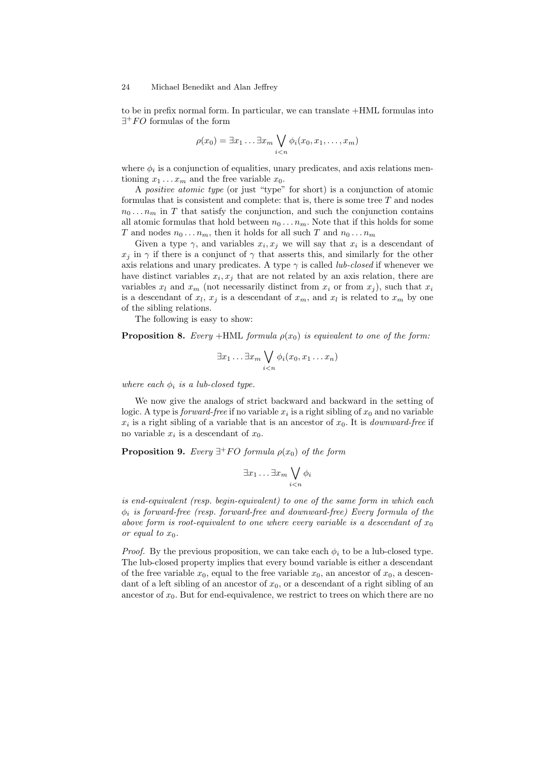to be in prefix normal form. In particular, we can translate +HML formulas into  $\exists^+FO$  formulas of the form

$$
\rho(x_0) = \exists x_1 \dots \exists x_m \bigvee_{i < n} \phi_i(x_0, x_1, \dots, x_m)
$$

where  $\phi_i$  is a conjunction of equalities, unary predicates, and axis relations mentioning  $x_1 \ldots x_m$  and the free variable  $x_0$ .

A positive atomic type (or just "type" for short) is a conjunction of atomic formulas that is consistent and complete: that is, there is some tree  $T$  and nodes  $n_0 \ldots n_m$  in T that satisfy the conjunction, and such the conjunction contains all atomic formulas that hold between  $n_0 \ldots n_m$ . Note that if this holds for some T and nodes  $n_0 \ldots n_m$ , then it holds for all such T and  $n_0 \ldots n_m$ 

Given a type  $\gamma$ , and variables  $x_i, x_j$  we will say that  $x_i$  is a descendant of  $x_j$  in  $\gamma$  if there is a conjunct of  $\gamma$  that asserts this, and similarly for the other axis relations and unary predicates. A type  $\gamma$  is called *lub-closed* if whenever we have distinct variables  $x_i, x_j$  that are not related by an axis relation, there are variables  $x_l$  and  $x_m$  (not necessarily distinct from  $x_i$  or from  $x_j$ ), such that  $x_i$ is a descendant of  $x_l, x_j$  is a descendant of  $x_m$ , and  $x_l$  is related to  $x_m$  by one of the sibling relations.

The following is easy to show:

**Proposition 8.** Every +HML formula  $\rho(x_0)$  is equivalent to one of the form:

$$
\exists x_1 \ldots \exists x_m \bigvee_{i
$$

where each  $\phi_i$  is a lub-closed type.

We now give the analogs of strict backward and backward in the setting of logic. A type is *forward-free* if no variable  $x_i$  is a right sibling of  $x_0$  and no variable  $x_i$  is a right sibling of a variable that is an ancestor of  $x_0$ . It is *downward-free* if no variable  $x_i$  is a descendant of  $x_0$ .

**Proposition 9.** Every  $\exists^+ FO$  formula  $\rho(x_0)$  of the form

$$
\exists x_1 \ldots \exists x_m \bigvee_{i
$$

is end-equivalent (resp. begin-equivalent) to one of the same form in which each  $\phi_i$  is forward-free (resp. forward-free and downward-free) Every formula of the above form is root-equivalent to one where every variable is a descendant of  $x_0$ or equal to  $x_0$ .

*Proof.* By the previous proposition, we can take each  $\phi_i$  to be a lub-closed type. The lub-closed property implies that every bound variable is either a descendant of the free variable  $x_0$ , equal to the free variable  $x_0$ , an ancestor of  $x_0$ , a descendant of a left sibling of an ancestor of  $x_0$ , or a descendant of a right sibling of an ancestor of  $x_0$ . But for end-equivalence, we restrict to trees on which there are no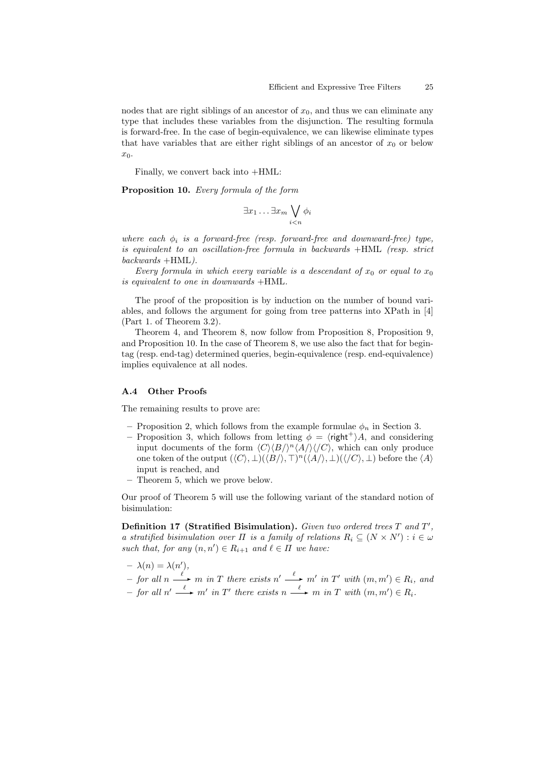nodes that are right siblings of an ancestor of  $x<sub>0</sub>$ , and thus we can eliminate any type that includes these variables from the disjunction. The resulting formula is forward-free. In the case of begin-equivalence, we can likewise eliminate types that have variables that are either right siblings of an ancestor of  $x_0$  or below  $x_0$ .

Finally, we convert back into +HML:

Proposition 10. Every formula of the form

$$
\exists x_1 \ldots \exists x_m \bigvee_{i
$$

where each  $\phi_i$  is a forward-free (resp. forward-free and downward-free) type, is equivalent to an oscillation-free formula in backwards +HML (resp. strict backwards +HML).

Every formula in which every variable is a descendant of  $x_0$  or equal to  $x_0$ is equivalent to one in downwards +HML.

The proof of the proposition is by induction on the number of bound variables, and follows the argument for going from tree patterns into XPath in [4] (Part 1. of Theorem 3.2).

Theorem 4, and Theorem 8, now follow from Proposition 8, Proposition 9, and Proposition 10. In the case of Theorem 8, we use also the fact that for begintag (resp. end-tag) determined queries, begin-equivalence (resp. end-equivalence) implies equivalence at all nodes.

### A.4 Other Proofs

The remaining results to prove are:

- Proposition 2, which follows from the example formulae  $\phi_n$  in Section 3.
- Proposition 3, which follows from letting  $\phi = \langle \text{right}^+\rangle A$ , and considering input documents of the form  $\langle C \rangle \langle B/ \rangle^{n} \langle A/ \rangle \langle C \rangle$ , which can only produce one token of the output  $(\langle C \rangle, \perp)(\langle B \rangle, \top)^n(\langle A \rangle, \perp)(\langle C \rangle, \perp)$  before the  $\langle A \rangle$ input is reached, and
- Theorem 5, which we prove below.

Our proof of Theorem 5 will use the following variant of the standard notion of bisimulation:

Definition 17 (Stratified Bisimulation). Given two ordered trees  $T$  and  $T'$ , a stratified bisimulation over  $\Pi$  is a family of relations  $R_i \subseteq (N \times N') : i \in \omega$ such that, for any  $(n, n') \in R_{i+1}$  and  $\ell \in \Pi$  we have:

- $-\lambda(n)=\lambda(n'),$
- $-$  for all  $n \xrightarrow{\ell} m$  in T there exists  $n' \xrightarrow{\ell} m'$  in T' with  $(m, m') \in R_i$ , and
- $-$  for all  $n' \stackrel{\ell}{\longrightarrow} m'$  in T' there exists  $n \stackrel{\ell}{\longrightarrow} m$  in T with  $(m, m') \in R_i$ .